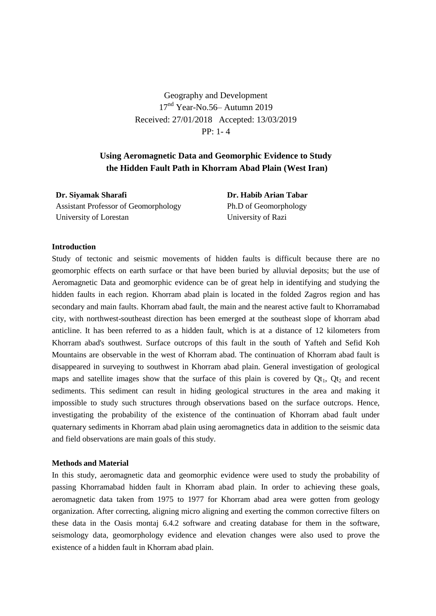Geography and Development 17<sup>nd</sup> Year-No.56– Autumn 2019 Received: 27/01/2018 Accepted: 13/03/2019 PP: 1- 4

# **Using Aeromagnetic Data and Geomorphic Evidence to Study the Hidden Fault Path in Khorram Abad Plain (West Iran)**

| Dr. Siyamak Sharafi                         | Dr. Habib Arian Tabar |
|---------------------------------------------|-----------------------|
| <b>Assistant Professor of Geomorphology</b> | Ph.D of Geomorphology |
| University of Lorestan                      | University of Razi    |

## **Introduction**

Study of tectonic and seismic movements of hidden faults is difficult because there are no geomorphic effects on earth surface or that have been buried by alluvial deposits; but the use of Aeromagnetic Data and geomorphic evidence can be of great help in identifying and studying the hidden faults in each region. Khorram abad plain is located in the folded Zagros region and has secondary and main faults. Khorram abad fault, the main and the nearest active fault to Khorramabad city, with northwest-southeast direction has been emerged at the southeast slope of khorram abad anticline. It has been referred to as a hidden fault, which is at a distance of 12 kilometers from Khorram abad's southwest. Surface outcrops of this fault in the south of Yafteh and Sefid Koh Mountains are observable in the west of Khorram abad. The continuation of Khorram abad fault is disappeared in surveying to southwest in Khorram abad plain. General investigation of geological maps and satellite images show that the surface of this plain is covered by  $Qt_1$ ,  $Qt_2$  and recent sediments. This sediment can result in hiding geological structures in the area and making it impossible to study such structures through observations based on the surface outcrops. Hence, investigating the probability of the existence of the continuation of Khorram abad fault under quaternary sediments in Khorram abad plain using aeromagnetics data in addition to the seismic data and field observations are main goals of this study.

### **Methods and Material**

In this study, aeromagnetic data and geomorphic evidence were used to study the probability of passing Khorramabad hidden fault in Khorram abad plain. In order to achieving these goals, aeromagnetic data taken from 1975 to 1977 for Khorram abad area were gotten from geology organization. After correcting, aligning micro aligning and exerting the common corrective filters on these data in the Oasis montaj 6.4.2 software and creating database for them in the software, seismology data, geomorphology evidence and elevation changes were also used to prove the existence of a hidden fault in Khorram abad plain.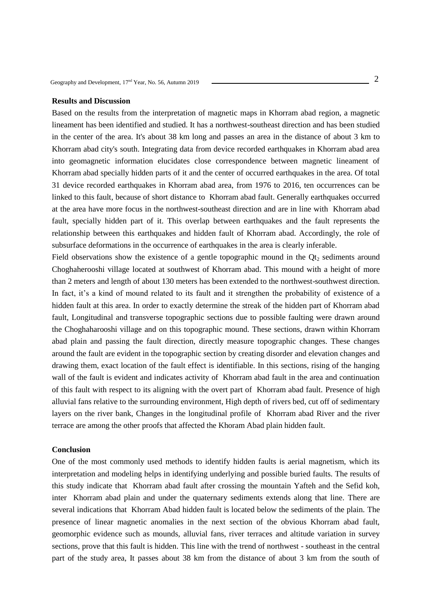#### **Results and Discussion**

Based on the results from the interpretation of magnetic maps in Khorram abad region, a magnetic lineament has been identified and studied. It has a northwest-southeast direction and has been studied in the center of the area. It's about 38 km long and passes an area in the distance of about 3 km to Khorram abad city's south. Integrating data from device recorded earthquakes in Khorram abad area into geomagnetic information elucidates close correspondence between magnetic lineament of Khorram abad specially hidden parts of it and the center of occurred earthquakes in the area. Of total 31 device recorded earthquakes in Khorram abad area, from 1976 to 2016, ten occurrences can be linked to this fault, because of short distance to Khorram abad fault. Generally earthquakes occurred at the area have more focus in the northwest-southeast direction and are in line with Khorram abad fault, specially hidden part of it. This overlap between earthquakes and the fault represents the relationship between this earthquakes and hidden fault of Khorram abad. Accordingly, the role of subsurface deformations in the occurrence of earthquakes in the area is clearly inferable.

Field observations show the existence of a gentle topographic mound in the  $\mathbf{Q}t_2$  sediments around Choghaherooshi village located at southwest of Khorram abad. This mound with a height of more than 2 meters and length of about 130 meters has been extended to the northwest-southwest direction. In fact, it's a kind of mound related to its fault and it strengthen the probability of existence of a hidden fault at this area. In order to exactly determine the streak of the hidden part of Khorram abad fault, Longitudinal and transverse topographic sections due to possible faulting were drawn around the Choghaharooshi village and on this topographic mound. These sections, drawn within Khorram abad plain and passing the fault direction, directly measure topographic changes. These changes around the fault are evident in the topographic section by creating disorder and elevation changes and drawing them, exact location of the fault effect is identifiable. In this sections, rising of the hanging wall of the fault is evident and indicates activity of Khorram abad fault in the area and continuation of this fault with respect to its aligning with the overt part of Khorram abad fault. Presence of high alluvial fans relative to the surrounding environment, High depth of rivers bed, cut off of sedimentary layers on the river bank, Changes in the longitudinal profile of Khorram abad River and the river terrace are among the other proofs that affected the Khoram Abad plain hidden fault.

#### **Conclusion**

One of the most commonly used methods to identify hidden faults is aerial magnetism, which its interpretation and modeling helps in identifying underlying and possible buried faults. The results of this study indicate that Khorram abad fault after crossing the mountain Yafteh and the Sefid koh, inter Khorram abad plain and under the quaternary sediments extends along that line. There are several indications that Khorram Abad hidden fault is located below the sediments of the plain. The presence of linear magnetic anomalies in the next section of the obvious Khorram abad fault, geomorphic evidence such as mounds, alluvial fans, river terraces and altitude variation in survey sections, prove that this fault is hidden. This line with the trend of northwest - southeast in the central part of the study area, It passes about 38 km from the distance of about 3 km from the south of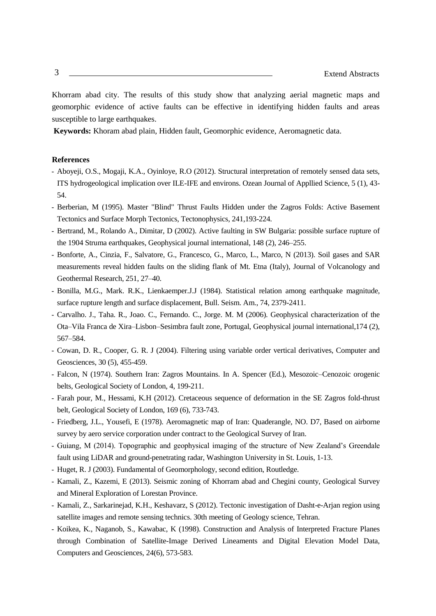Khorram abad city. The results of this study show that analyzing aerial magnetic maps and geomorphic evidence of active faults can be effective in identifying hidden faults and areas susceptible to large earthquakes.

**Keywords:** Khoram abad plain, Hidden fault, Geomorphic evidence, Aeromagnetic data.

- Aboyeji, O.S., Mogaji, K.A., Oyinloye, R.O (2012). Structural interpretation of remotely sensed data sets, ITS hydrogeological implication over ILE-IFE and environs. Ozean Journal of Appllied Science, 5 (1), 43- 54.
- Berberian, M (1995). Master "Blind" Thrust Faults Hidden under the Zagros Folds: Active Basement Tectonics and Surface Morph Tectonics, Tectonophysics, 241,193-224.
- Bertrand, M., Rolando A., Dimitar, D (2002). Active faulting in SW Bulgaria: possible surface rupture of the 1904 Struma earthquakes, Geophysical journal international, 148 (2), 246–255.
- Bonforte, A., Cinzia, F., Salvatore, G., Francesco, G., Marco, L., Marco, N (2013). Soil gases and SAR measurements reveal hidden faults on the sliding flank of Mt. Etna (Italy), Journal of Volcanology and Geothermal Research, 251, 27–40.
- Bonilla, M.G., Mark. R.K., Lienkaemper.J.J (1984). Statistical relation among earthquake magnitude, surface rupture length and surface displacement, Bull. Seism. Am., 74, 2379-2411.
- Carvalho. J., Taha. R., Joao. C., Fernando. C., Jorge. M. M (2006). Geophysical characterization of the Ota–Vila Franca de Xira–Lisbon–Sesimbra fault zone, Portugal, Geophysical journal international,174 (2), 567–584.
- Cowan, D. R., Cooper, G. R. J (2004). Filtering using variable order vertical derivatives, Computer and Geosciences, 30 (5), 455-459.
- Falcon, N (1974). Southern Iran: Zagros Mountains. In A. Spencer (Ed.), Mesozoic–Cenozoic orogenic belts, Geological Society of London, 4, 199-211.
- Farah pour, M., Hessami, K.H (2012). Cretaceous sequence of deformation in the SE Zagros fold-thrust belt, Geological Society of London, 169 (6), 733-743.
- Friedberg, J.L., Yousefi, E (1978). Aeromagnetic map of Iran: Quaderangle, NO. D7, Based on airborne survey by aero service corporation under contract to the Geological Survey of Iran.
- Guiang, M (2014). Topographic and geophysical imaging of the structure of New Zealand's Greendale fault using LiDAR and ground-penetrating radar, Washington University in St. Louis, 1-13.
- Huget, R. J (2003). Fundamental of Geomorphology, second edition, Routledge.
- Kamali, Z., Kazemi, E (2013). Seismic zoning of Khorram abad and Chegini county, Geological Survey and Mineral Exploration of Lorestan Province.
- Kamali, Z., Sarkarinejad, K.H., Keshavarz, S (2012). Tectonic investigation of Dasht-e-Arjan region using satellite images and remote sensing technics. 30th meeting of Geology science, Tehran.
- Koikea, K., Naganob, S., Kawabac, K (1998). Construction and Analysis of Interpreted Fracture Planes through Combination of Satellite-Image Derived Lineaments and Digital Elevation Model Data, Computers and Geosciences, 24(6), 573-583.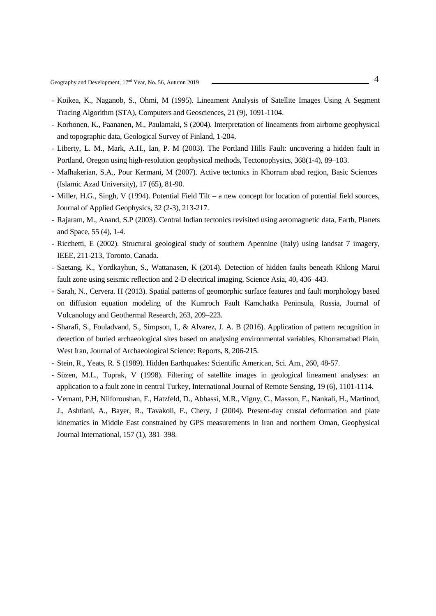- Koikea, K., Naganob, S., Ohmi, M (1995). Lineament Analysis of Satellite Images Using A Segment Tracing Algorithm (STA), Computers and Geosciences, 21 (9), 1091-1104.
- Korhonen, K., Paananen, M., Paulamaki, S (2004). Interpretation of lineaments from airborne geophysical and topographic data, Geological Survey of Finland, 1-204.
- Liberty, L. M., Mark, A.H., Ian, P. M (2003). The Portland Hills Fault: uncovering a hidden fault in Portland, Oregon using high-resolution geophysical methods, Tectonophysics, 368(1-4), 89–103.
- Mafhakerian, S.A., Pour Kermani, M (2007). Active tectonics in Khorram abad region, Basic Sciences (Islamic Azad University), 17 (65), 81-90.
- Miller, H.G., Singh, V (1994). Potential Field Tilt a new concept for location of potential field sources, Journal of Applied Geophysics, 32 (2-3), 213-217.
- Rajaram, M., Anand, S.P (2003). Central Indian tectonics revisited using aeromagnetic data, Earth, Planets and Space, 55 (4), 1-4.
- Ricchetti, E (2002). Structural geological study of southern Apennine (Italy) using landsat 7 imagery, IEEE, 211-213, Toronto, Canada.
- Saetang, K., Yordkayhun, S., Wattanasen, K (2014). Detection of hidden faults beneath Khlong Marui fault zone using seismic reflection and 2-D electrical imaging, Science Asia, 40, 436–443.
- Sarah, N., Cervera. H (2013). Spatial patterns of geomorphic surface features and fault morphology based on diffusion equation modeling of the Kumroch Fault Kamchatka Peninsula, Russia, Journal of Volcanology and Geothermal Research, 263, 209–223.
- Sharafi, S., Fouladvand, S., Simpson, I., & Alvarez, J. A. B (2016). Application of pattern recognition in detection of buried archaeological sites based on analysing environmental variables, Khorramabad Plain, West Iran, Journal of Archaeological Science: Reports, 8, 206-215.
- Stein, R., Yeats, R. S (1989). Hidden Earthquakes: Scientific American, Sci. Am., 260, 48-57.
- Süzen, M.L., Toprak, V (1998). Filtering of satellite images in geological lineament analyses: an application to a fault zone in central Turkey, International Journal of Remote Sensing, 19 (6), 1101-1114.
- Vernant, P.H, Nilforoushan, F., Hatzfeld, D., Abbassi, M.R., Vigny, C., Masson, F., Nankali, H., Martinod, J., Ashtiani, A., Bayer, R., Tavakoli, F., Chery, J (2004). Present-day crustal deformation and plate kinematics in Middle East constrained by GPS measurements in Iran and northern Oman, Geophysical Journal International, 157 (1), 381–398.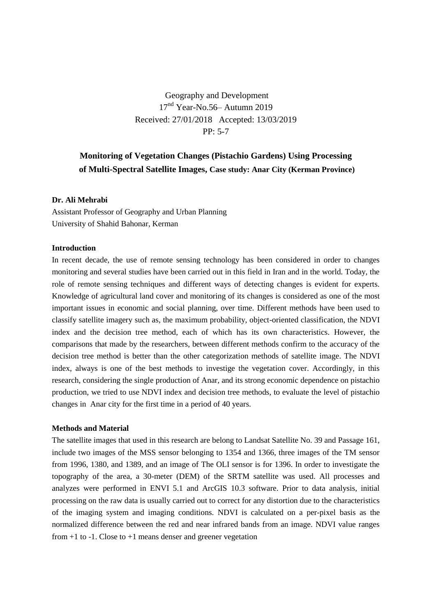# Geography and Development 17<sup>nd</sup> Year-No.56– Autumn 2019 Received: 27/01/2018 Accepted: 13/03/2019 PP: 5-7

# **Monitoring of Vegetation Changes (Pistachio Gardens) Using Processing of Multi-Spectral Satellite Images, Case study: Anar City (Kerman Province)**

# **Dr. Ali Mehrabi**

Assistant Professor of Geography and Urban Planning University of Shahid Bahonar, Kerman

## **Introduction**

In recent decade, the use of remote sensing technology has been considered in order to changes monitoring and several studies have been carried out in this field in Iran and in the world. Today, the role of remote sensing techniques and different ways of detecting changes is evident for experts. Knowledge of agricultural land cover and monitoring of its changes is considered as one of the most important issues in economic and social planning, over time. Different methods have been used to classify satellite imagery such as, the maximum probability, object-oriented classification, the NDVI index and the decision tree method, each of which has its own characteristics. However, the comparisons that made by the researchers, between different methods confirm to the accuracy of the decision tree method is better than the other categorization methods of satellite image. The NDVI index, always is one of the best methods to investige the vegetation cover. Accordingly, in this research, considering the single production of Anar, and its strong economic dependence on pistachio production, we tried to use NDVI index and decision tree methods, to evaluate the level of pistachio changes in Anar city for the first time in a period of 40 years.

# **Methods and Material**

The satellite images that used in this research are belong to Landsat Satellite No. 39 and Passage 161, include two images of the MSS sensor belonging to 1354 and 1366, three images of the TM sensor from 1996, 1380, and 1389, and an image of The OLI sensor is for 1396. In order to investigate the topography of the area, a 30-meter (DEM) of the SRTM satellite was used. All processes and analyzes were performed in ENVI 5.1 and ArcGIS 10.3 software. Prior to data analysis, initial processing on the raw data is usually carried out to correct for any distortion due to the characteristics of the imaging system and imaging conditions. NDVI is calculated on a per-pixel basis as the normalized difference between the red and near infrared bands from an image. NDVI value ranges from  $+1$  to  $-1$ . Close to  $+1$  means denser and greener vegetation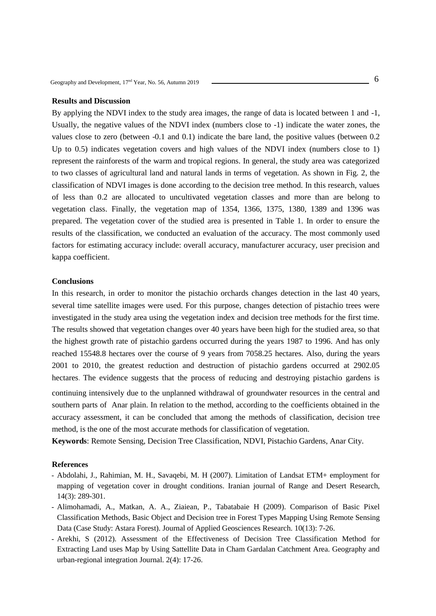## **Results and Discussion**

By applying the NDVI index to the study area images, the range of data is located between 1 and -1, Usually, the negative values of the NDVI index (numbers close to -1) indicate the water zones, the values close to zero (between -0.1 and 0.1) indicate the bare land, the positive values (between 0.2 Up to 0.5) indicates vegetation covers and high values of the NDVI index (numbers close to 1) represent the rainforests of the warm and tropical regions. In general, the study area was categorized to two classes of agricultural land and natural lands in terms of vegetation. As shown in Fig. 2, the classification of NDVI images is done according to the decision tree method. In this research, values of less than 0.2 are allocated to uncultivated vegetation classes and more than are belong to vegetation class. Finally, the vegetation map of 1354, 1366, 1375, 1380, 1389 and 1396 was prepared. The vegetation cover of the studied area is presented in Table 1. In order to ensure the results of the classification, we conducted an evaluation of the accuracy. The most commonly used factors for estimating accuracy include: overall accuracy, manufacturer accuracy, user precision and kappa coefficient.

#### **Conclusions**

In this research, in order to monitor the pistachio orchards changes detection in the last 40 years, several time satellite images were used. For this purpose, changes detection of pistachio trees were investigated in the study area using the vegetation index and decision tree methods for the first time. The results showed that vegetation changes over 40 years have been high for the studied area, so that the highest growth rate of pistachio gardens occurred during the years 1987 to 1996. And has only reached 15548.8 hectares over the course of 9 years from 7058.25 hectares. Also, during the years 2001 to 2010, the greatest reduction and destruction of pistachio gardens occurred at 2902.05 hectares. The evidence suggests that the process of reducing and destroying pistachio gardens is continuing intensively due to the unplanned withdrawal of groundwater resources in the central and southern parts of Anar plain. In relation to the method, according to the coefficients obtained in the accuracy assessment, it can be concluded that among the methods of classification, decision tree method, is the one of the most accurate methods for classification of vegetation.

**Keywords**: Remote Sensing, Decision Tree Classification, NDVI, Pistachio Gardens, Anar City.

- Abdolahi, J., Rahimian, M. H., Savaqebi, M. H (2007). Limitation of Landsat ETM+ employment for mapping of vegetation cover in drought conditions. Iranian journal of Range and Desert Research, 14(3): 289-301.
- Alimohamadi, A., Matkan, A. A., Ziaiean, P., Tabatabaie H (2009). Comparison of Basic Pixel Classification Methods, Basic Object and Decision tree in Forest Types Mapping Using Remote Sensing Data (Case Study: Astara Forest). Journal of Applied Geosciences Research. 10(13): 7-26.
- Arekhi, S (2012). Assessment of the Effectiveness of Decision Tree Classification Method for Extracting Land uses Map by Using Sattellite Data in Cham Gardalan Catchment Area. Geography and urban-regional integration Journal. 2(4): 17-26.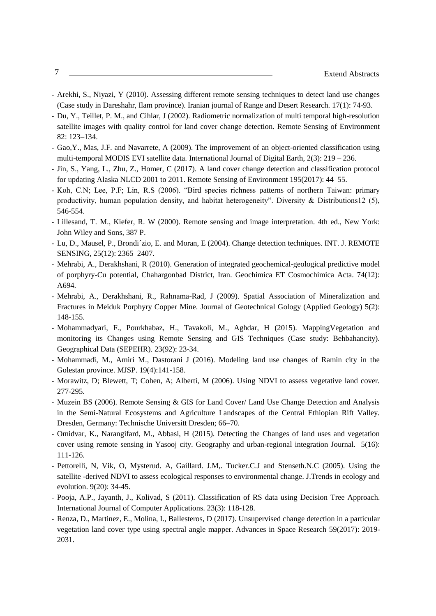- Arekhi, S., Niyazi, Y (2010). Assessing different remote sensing techniques to detect land use changes (Case study in Dareshahr, Ilam province). Iranian journal of Range and Desert Research. 17(1): 74-93.
- Du, Y., Teillet, P. M., and Cihlar, J (2002). Radiometric normalization of multi temporal high-resolution satellite images with quality control for land cover change detection. Remote Sensing of Environment 82: 123–134.
- Gao,Y., Mas, J.F. and Navarrete, A (2009). The improvement of an object-oriented classification using multi-temporal MODIS EVI satellite data. International Journal of Digital Earth, 2(3): 219 – 236.
- Jin, S., Yang, L., Zhu, Z., Homer, C (2017). A land cover change detection and classification protocol for updating Alaska NLCD 2001 to 2011. Remote Sensing of Environment 195(2017): 44–55.
- Koh, C.N; Lee, P.F; Lin, R.S (2006). "Bird species richness patterns of northern Taiwan: primary productivity, human population density, and habitat heterogeneity". Diversity & Distributions12 (5), 546-554.
- Lillesand, T. M., Kiefer, R. W (2000). Remote sensing and image interpretation. 4th ed., New York: John Wiley and Sons, 387 P.
- Lu, D., Mausel, P., Brondi´zio, E. and Moran, E (2004). Change detection techniques. INT. J. REMOTE SENSING, 25(12): 2365–2407.
- Mehrabi, A., Derakhshani, R (2010). Generation of integrated geochemical-geological predictive model of porphyry-Cu potential, Chahargonbad District, Iran. Geochimica ET Cosmochimica Acta. 74(12): A694.
- Mehrabi, A., Derakhshani, R., Rahnama-Rad, J (2009). Spatial Association of Mineralization and Fractures in Meiduk Porphyry Copper Mine. Journal of Geotechnical Gology (Applied Geology) 5(2): 148-155.
- Mohammadyari, F., Pourkhabaz, H., Tavakoli, M., Aghdar, H (2015). MappingVegetation and monitoring its Changes using Remote Sensing and GIS Techniques (Case study: Behbahancity). Geographical Data (SEPEHR). 23(92): 23-34.
- Mohammadi, M., Amiri M., Dastorani J (2016). Modeling land use changes of Ramin city in the Golestan province. MJSP. 19(4):141-158.
- Morawitz, D; Blewett, T; Cohen, A; Alberti, M (2006). Using NDVI to assess vegetative land cover. 277-295.
- Muzein BS (2006). Remote Sensing & GIS for Land Cover/ Land Use Change Detection and Analysis in the Semi-Natural Ecosystems and Agriculture Landscapes of the Central Ethiopian Rift Valley. Dresden, Germany: Technische Universitt Dresden; 66–70.
- Omidvar, K., Narangifard, M., Abbasi, H (2015). Detecting the Changes of land uses and vegetation cover using remote sensing in Yasooj city. Geography and urban-regional integration Journal. 5(16): 111-126.
- Pettorelli, N, Vik, O, Mysterud. A, Gaillard. J.M,. Tucker.C.J and Stenseth.N.C (2005). Using the satellite -derived NDVI to assess ecological responses to environmental change. J.Trends in ecology and evolution. 9(20): 34-45.
- Pooja, A.P., Jayanth, J., Kolivad, S (2011). Classification of RS data using Decision Tree Approach. International Journal of Computer Applications. 23(3): 118-128.
- Renza, D., Martinez, E., Molina, I., Ballesteros, D (2017). Unsupervised change detection in a particular vegetation land cover type using spectral angle mapper. Advances in Space Research 59(2017): 2019- 2031.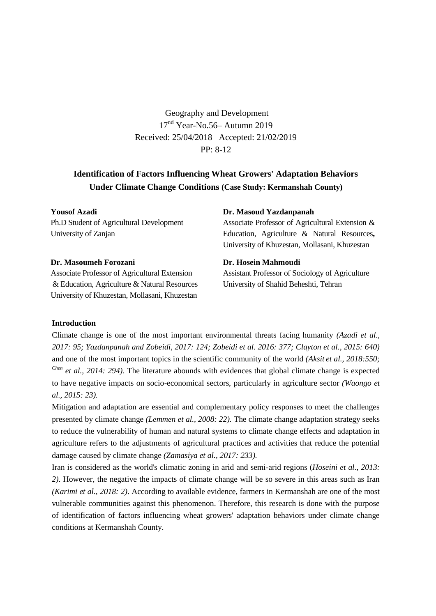Geography and Development 17nd Year-No.56– Autumn 2019 Received: 25/04/2018 Accepted: 21/02/2019 PP: 8-12

# **Identification of Factors Influencing Wheat Growers' Adaptation Behaviors Under Climate Change Conditions (Case Study: Kermanshah County)**

**Yousof Azadi** Ph.D Student of Agricultural Development University of Zanjan

#### **Dr. Masoumeh Forozani**

Associate Professor of Agricultural Extension & Education, Agriculture & Natural Resources University of Khuzestan, Mollasani, Khuzestan

**Dr. Masoud Yazdanpanah**

Associate Professor of Agricultural Extension & Education, Agriculture & Natural Resources**,**  University of Khuzestan, Mollasani, Khuzestan

**Dr. Hosein Mahmoudi**

Assistant Professor of Sociology of Agriculture University of Shahid Beheshti, Tehran

#### **Introduction**

Climate change is one of the most important environmental threats facing humanity *(Azadi et al., 2017: 95; Yazdanpanah and Zobeidi, 2017: 124; Zobeidi et al. 2016: 377; Clayton et al., 2015: 640)* and one of the most important topics in the scientific community of the world *(Aksit et al., 2018:550; Chen et al., 2014: 294)*. The literature abounds with evidences that global climate change is expected to have negative impacts on socio-economical sectors, particularly in agriculture sector *(Waongo et al., 2015: 23).*

Mitigation and adaptation are essential and complementary policy responses to meet the challenges presented by climate change *(Lemmen et al., 2008: 22).* The climate change adaptation strategy seeks to reduce the vulnerability of human and natural systems to climate change effects and adaptation in agriculture refers to the adjustments of agricultural practices and activities that reduce the potential damage caused by climate change *(Zamasiya et al., 2017: 233).*

Iran is considered as the world's climatic zoning in arid and semi-arid regions (*Hoseini et al., 2013: 2)*. However, the negative the impacts of climate change will be so severe in this areas such as Iran *(Karimi et al., 2018: 2)*. According to available evidence, farmers in Kermanshah are one of the most vulnerable communities against this phenomenon. Therefore, this research is done with the purpose of identification of factors influencing wheat growers' adaptation behaviors under climate change conditions at Kermanshah County.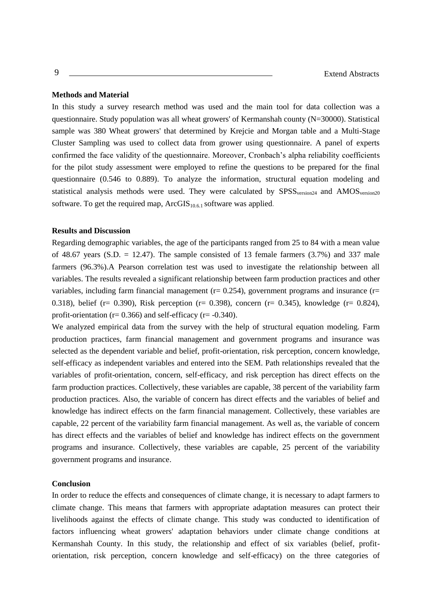## **Methods and Material**

In this study a survey research method was used and the main tool for data collection was a questionnaire. Study population was all wheat growers' of Kermanshah county (N=30000). Statistical sample was 380 Wheat growers' that determined by Krejcie and Morgan table and a Multi-Stage Cluster Sampling was used to collect data from grower using questionnaire. A panel of experts confirmed the face validity of the questionnaire. Moreover, Cronbach's alpha reliability coefficients for the pilot study assessment were employed to refine the questions to be prepared for the final questionnaire (0.546 to 0.889). To analyze the information, structural equation modeling and statistical analysis methods were used. They were calculated by SPSS<sub>version24</sub> and AMOS<sub>version20</sub> software. To get the required map,  $ArcGIS<sub>10.6.1</sub>$  software was applied.

## **Results and Discussion**

Regarding demographic variables, the age of the participants ranged from 25 to 84 with a mean value of 48.67 years (S.D.  $= 12.47$ ). The sample consisted of 13 female farmers (3.7%) and 337 male farmers (96.3%).A Pearson correlation test was used to investigate the relationship between all variables. The results revealed a significant relationship between farm production practices and other variables, including farm financial management ( $r = 0.254$ ), government programs and insurance ( $r =$ 0.318), belief (r= 0.390), Risk perception (r= 0.398), concern (r= 0.345), knowledge (r= 0.824), profit-orientation ( $r= 0.366$ ) and self-efficacy ( $r=-0.340$ ).

We analyzed empirical data from the survey with the help of structural equation modeling. Farm production practices, farm financial management and government programs and insurance was selected as the dependent variable and belief, profit-orientation, risk perception, concern knowledge, self-efficacy as independent variables and entered into the SEM. Path relationships revealed that the variables of profit-orientation, concern, self-efficacy, and risk perception has direct effects on the farm production practices. Collectively, these variables are capable, 38 percent of the variability farm production practices. Also, the variable of concern has direct effects and the variables of belief and knowledge has indirect effects on the farm financial management. Collectively, these variables are capable, 22 percent of the variability farm financial management. As well as, the variable of concern has direct effects and the variables of belief and knowledge has indirect effects on the government programs and insurance. Collectively, these variables are capable, 25 percent of the variability government programs and insurance.

#### **Conclusion**

In order to reduce the effects and consequences of climate change, it is necessary to adapt farmers to climate change. This means that farmers with appropriate adaptation measures can protect their livelihoods against the effects of climate change. This study was conducted to identification of factors influencing wheat growers' adaptation behaviors under climate change conditions at Kermanshah County. In this study, the relationship and effect of six variables (belief, profitorientation, risk perception, concern knowledge and self-efficacy) on the three categories of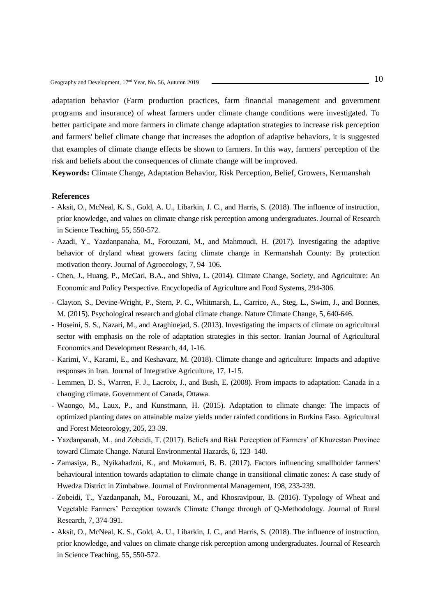adaptation behavior (Farm production practices, farm financial management and government programs and insurance) of wheat farmers under climate change conditions were investigated. To better participate and more farmers in climate change adaptation strategies to increase risk perception and farmers' belief climate change that increases the adoption of adaptive behaviors, it is suggested that examples of climate change effects be shown to farmers. In this way, farmers' perception of the risk and beliefs about the consequences of climate change will be improved.

**Keywords:** Climate Change, Adaptation Behavior, Risk Perception, Belief, Growers, Kermanshah

- Aksit, O., McNeal, K. S., Gold, A. U., Libarkin, J. C., and Harris, S. (2018). The influence of instruction, prior knowledge, and values on climate change risk perception among undergraduates. Journal of Research in Science Teaching, 55, 550-572.
- Azadi, Y., Yazdanpanaha, M., Forouzani, M., and Mahmoudi, H. (2017). Investigating the adaptive behavior of dryland wheat growers facing climate change in Kermanshah County: By protection motivation theory. Journal of Agroecology, 7, 94–106.
- Chen, J., Huang, P., McCarl, B.A., and Shiva, L. (2014). Climate Change, Society, and Agriculture: An Economic and Policy Perspective. Encyclopedia of Agriculture and Food Systems, 294-306.
- Clayton, S., Devine-Wright, P., Stern, P. C., Whitmarsh, L., Carrico, A., Steg, L., Swim, J., and Bonnes, M. (2015). Psychological research and global climate change. Nature Climate Change, 5, 640-646.
- Hoseini, S. S., Nazari, M., and Araghinejad, S. (2013). Investigating the impacts of climate on agricultural sector with emphasis on the role of adaptation strategies in this sector. Iranian Journal of Agricultural Economics and Development Research, 44, 1-16.
- Karimi, V., Karami, E., and Keshavarz, M. (2018). Climate change and agriculture: Impacts and adaptive responses in Iran. Journal of Integrative Agriculture, 17, 1-15.
- Lemmen, D. S., Warren, F. J., Lacroix, J., and Bush, E. (2008). From impacts to adaptation: Canada in a changing climate. Government of Canada, Ottawa.
- Waongo, M., Laux, P., and Kunstmann, H. (2015). Adaptation to climate change: The impacts of optimized planting dates on attainable maize yields under rainfed conditions in Burkina Faso. Agricultural and Forest Meteorology, 205, 23-39.
- Yazdanpanah, M., and Zobeidi, T. (2017). Beliefs and Risk Perception of Farmers' of Khuzestan Province toward Climate Change. Natural Environmental Hazards, 6, 123–140.
- Zamasiya, B., Nyikahadzoi, K., and Mukamuri, B. B. (2017). Factors influencing smallholder farmers' behavioural intention towards adaptation to climate change in transitional climatic zones: A case study of Hwedza District in Zimbabwe. Journal of Environmental Management, 198, 233-239.
- Zobeidi, T., Yazdanpanah, M., Forouzani, M., and Khosravipour, B. (2016). Typology of Wheat and Vegetable Farmers' Perception towards Climate Change through of Q-Methodology. Journal of Rural Research, 7, 374-391.
- Aksit, O., McNeal, K. S., Gold, A. U., Libarkin, J. C., and Harris, S. (2018). The influence of instruction, prior knowledge, and values on climate change risk perception among undergraduates. Journal of Research in Science Teaching, 55, 550-572.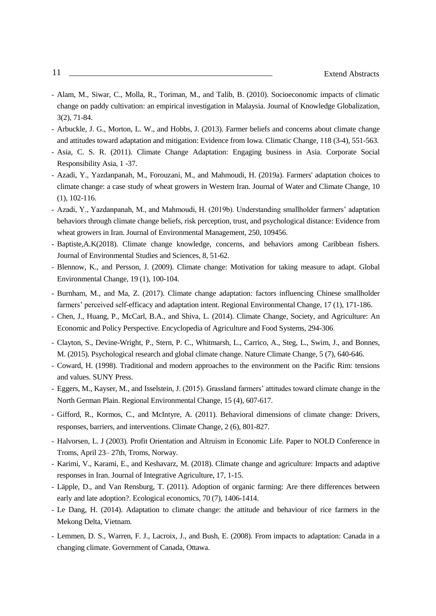- Alam, M., Siwar, C., Molla, R., Toriman, M., and Talib, B. (2010). Socioeconomic impacts of climatic change on paddy cultivation: an empirical investigation in Malaysia. Journal of Knowledge Globalization, 3(2), 71-84.
- Arbuckle, J. G., Morton, L. W., and Hobbs, J. (2013). Farmer beliefs and concerns about climate change and attitudes toward adaptation and mitigation: Evidence from Iowa. Climatic Change, 118 (3-4), 551-563.
- Asia, C. S. R. (2011). Climate Change Adaptation: Engaging business in Asia. Corporate Social Responsibility Asia, 1 -37.
- Azadi, Y., Yazdanpanah, M., Forouzani, M., and Mahmoudi, H. (2019a). Farmers' adaptation choices to climate change: a case study of wheat growers in Western Iran. Journal of Water and Climate Change, 10 (1), 102-116.
- Azadi, Y., Yazdanpanah, M., and Mahmoudi, H. (2019b). Understanding smallholder farmers' adaptation behaviors through climate change beliefs, risk perception, trust, and psychological distance: Evidence from wheat growers in Iran. Journal of Environmental Management, 250, 109456.
- Baptiste,A.K(2018). Climate change knowledge, concerns, and behaviors among Caribbean fishers. Journal of Environmental Studies and Sciences, 8, 51-62.
- Blennow, K., and Persson, J. (2009). Climate change: Motivation for taking measure to adapt. Global Environmental Change, 19 (1), 100-104.
- Burnham, M., and Ma, Z. (2017). Climate change adaptation: factors influencing Chinese smallholder farmers' perceived self-efficacy and adaptation intent. Regional Environmental Change, 17 (1), 171-186.
- Chen, J., Huang, P., McCarl, B.A., and Shiva, L. (2014). Climate Change, Society, and Agriculture: An Economic and Policy Perspective. Encyclopedia of Agriculture and Food Systems, 294-306.
- Clayton, S., Devine-Wright, P., Stern, P. C., Whitmarsh, L., Carrico, A., Steg, L., Swim, J., and Bonnes, M. (2015). Psychological research and global climate change. Nature Climate Change, 5 (7), 640-646.
- Coward, H. (1998). Traditional and modern approaches to the environment on the Pacific Rim: tensions and values. SUNY Press.
- Eggers, M., Kayser, M., and Isselstein, J. (2015). Grassland farmers' attitudes toward climate change in the North German Plain. Regional Environmental Change, 15 (4), 607-617.
- Gifford, R., Kormos, C., and McIntyre, A. (2011). Behavioral dimensions of climate change: Drivers, responses, barriers, and interventions. Climate Change, 2 (6), 801-827.
- Halvorsen, L. J (2003). Profit Orientation and Altruism in Economic Life. Paper to NOLD Conference in Troms, April 23– 27th, Troms, Norway.
- Karimi, V., Karami, E., and Keshavarz, M. (2018). Climate change and agriculture: Impacts and adaptive responses in Iran. Journal of Integrative Agriculture, 17, 1-15.
- Läpple, D., and Van Rensburg, T. (2011). Adoption of organic farming: Are there differences between early and late adoption?. Ecological economics, 70 (7), 1406-1414.
- Le Dang, H. (2014). Adaptation to climate change: the attitude and behaviour of rice farmers in the Mekong Delta, Vietnam.
- Lemmen, D. S., Warren, F. J., Lacroix, J., and Bush, E. (2008). From impacts to adaptation: Canada in a changing climate. Government of Canada, Ottawa.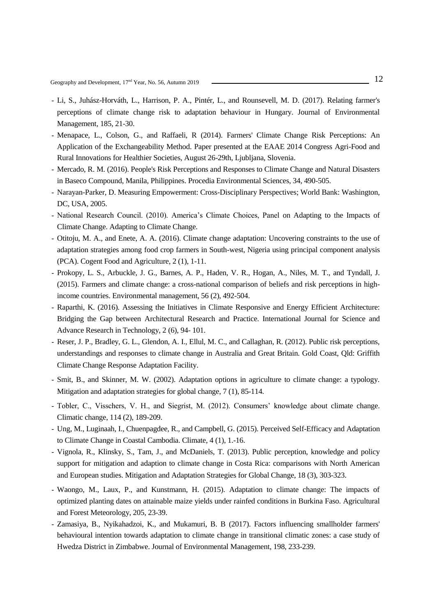Geography and Development, 17<sup>nd</sup> Year, No. 56, Autumn 2019 ——————————————————————————————————<sup>12</sup>

- Li, S., Juhász-Horváth, L., Harrison, P. A., Pintér, L., and Rounsevell, M. D. (2017). Relating farmer's perceptions of climate change risk to adaptation behaviour in Hungary. Journal of Environmental Management, 185, 21-30.
- Menapace, L., Colson, G., and Raffaeli, R (2014). Farmers' Climate Change Risk Perceptions: An Application of the Exchangeability Method. Paper presented at the EAAE 2014 Congress Agri-Food and Rural Innovations for Healthier Societies, August 26-29th, Ljubljana, Slovenia.
- Mercado, R. M. (2016). People's Risk Perceptions and Responses to Climate Change and Natural Disasters in Baseco Compound, Manila, Philippines. Procedia Environmental Sciences, 34, 490-505.
- Narayan-Parker, D. Measuring Empowerment: Cross-Disciplinary Perspectives; World Bank: Washington, DC, USA, 2005.
- National Research Council. (2010). America's Climate Choices, Panel on Adapting to the Impacts of Climate Change. Adapting to Climate Change.
- Otitoju, M. A., and Enete, A. A. (2016). Climate change adaptation: Uncovering constraints to the use of adaptation strategies among food crop farmers in South-west, Nigeria using principal component analysis (PCA). Cogent Food and Agriculture, 2 (1), 1-11.
- Prokopy, L. S., Arbuckle, J. G., Barnes, A. P., Haden, V. R., Hogan, A., Niles, M. T., and Tyndall, J. (2015). Farmers and climate change: a cross-national comparison of beliefs and risk perceptions in highincome countries. Environmental management, 56 (2), 492-504.
- Raparthi, K. (2016). Assessing the Initiatives in Climate Responsive and Energy Efficient Architecture: Bridging the Gap between Architectural Research and Practice. International Journal for Science and Advance Research in Technology, 2 (6), 94- 101.
- Reser, J. P., Bradley, G. L., Glendon, A. I., Ellul, M. C., and Callaghan, R. (2012). Public risk perceptions, understandings and responses to climate change in Australia and Great Britain. Gold Coast, Qld: Griffith Climate Change Response Adaptation Facility.
- Smit, B., and Skinner, M. W. (2002). Adaptation options in agriculture to climate change: a typology. Mitigation and adaptation strategies for global change, 7 (1), 85-114.
- Tobler, C., Visschers, V. H., and Siegrist, M. (2012). Consumers' knowledge about climate change. Climatic change, 114 (2), 189-209.
- Ung, M., Luginaah, I., Chuenpagdee, R., and Campbell, G. (2015). Perceived Self-Efficacy and Adaptation to Climate Change in Coastal Cambodia. Climate, 4 (1), 1.-16.
- Vignola, R., Klinsky, S., Tam, J., and McDaniels, T. (2013). Public perception, knowledge and policy support for mitigation and adaption to climate change in Costa Rica: comparisons with North American and European studies. Mitigation and Adaptation Strategies for Global Change, 18 (3), 303-323.
- Waongo, M., Laux, P., and Kunstmann, H. (2015). Adaptation to climate change: The impacts of optimized planting dates on attainable maize yields under rainfed conditions in Burkina Faso. Agricultural and Forest Meteorology, 205, 23-39.
- Zamasiya, B., Nyikahadzoi, K., and Mukamuri, B. B (2017). Factors influencing smallholder farmers' behavioural intention towards adaptation to climate change in transitional climatic zones: a case study of Hwedza District in Zimbabwe. Journal of Environmental Management, 198, 233-239.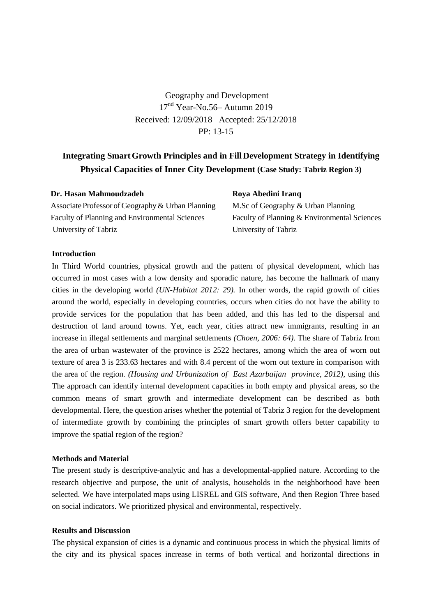Geography and Development 17<sup>nd</sup> Year-No.56– Autumn 2019 Received: 12/09/2018 Accepted: 25/12/2018 PP: 13-15

# **Integrating SmartGrowth Principles and in Fill Development Strategy in Identifying Physical Capacities of Inner City Development (Case Study: Tabriz Region 3)**

| Dr. Hasan Mahmoudzadeh                                | Roya Abedini Iranq                           |
|-------------------------------------------------------|----------------------------------------------|
| Associate Professor of Geography & Urban Planning     | M.Sc of Geography & Urban Planning           |
| <b>Faculty of Planning and Environmental Sciences</b> | Faculty of Planning & Environmental Sciences |
| University of Tabriz                                  | University of Tabriz                         |
|                                                       |                                              |

## **Introduction**

In Third World countries, physical growth and the pattern of physical development, which has occurred in most cases with a low density and sporadic nature, has become the hallmark of many cities in the developing world *(UN-Habitat 2012: 29).* In other words, the rapid growth of cities around the world, especially in developing countries, occurs when cities do not have the ability to provide services for the population that has been added, and this has led to the dispersal and destruction of land around towns. Yet, each year, cities attract new immigrants, resulting in an increase in illegal settlements and marginal settlements *(Choen, 2006: 64)*. The share of Tabriz from the area of urban wastewater of the province is 2522 hectares, among which the area of worn out texture of area 3 is 233.63 hectares and with 8.4 percent of the worn out texture in comparison with the area of the region. *(Housing and Urbanization of East Azarbaijan province, 2012)*, using this The approach can identify internal development capacities in both empty and physical areas, so the common means of smart growth and intermediate development can be described as both developmental. Here, the question arises whether the potential of Tabriz 3 region for the development of intermediate growth by combining the principles of smart growth offers better capability to improve the spatial region of the region?

#### **Methods and Material**

The present study is descriptive-analytic and has a developmental-applied nature. According to the research objective and purpose, the unit of analysis, households in the neighborhood have been selected. [We](https://fastdic.com/word/We) [have](https://fastdic.com/word/have) [interpolated](https://fastdic.com/word/interpolated) [maps](https://fastdic.com/word/maps) [using](https://fastdic.com/word/using) [LISREL](https://fastdic.com/word/LISREL) [and](https://fastdic.com/word/and) [GIS](https://fastdic.com/word/GIS) [software,](https://fastdic.com/word/software) And then Region Three based on social indicators. We prioritized physical and environmental, respectively.

# **Results and Discussion**

The physical expansion of cities is a dynamic and continuous process in which the physical limits of the city and its physical spaces increase in terms of both vertical and horizontal directions in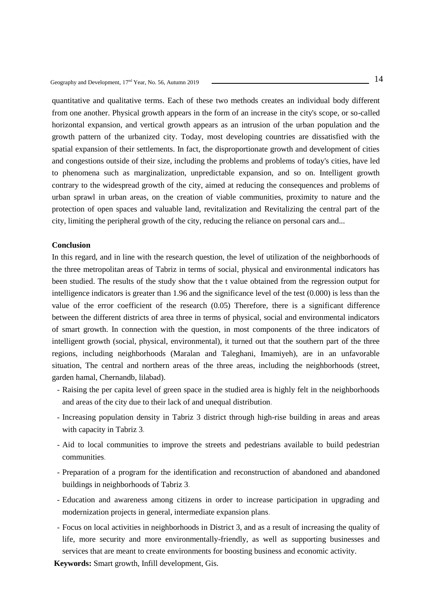quantitative and qualitative terms. Each of these two methods creates an individual body different from one another. Physical growth appears in the form of an increase in the city's scope, or so-called horizontal expansion, and vertical growth appears as an intrusion of the urban population and the growth pattern of the urbanized city. Today, most developing countries are dissatisfied with the spatial expansion of their settlements. In fact, the disproportionate growth and development of cities and congestions outside of their size, including the problems and problems of today's cities, have led to phenomena such as marginalization, unpredictable expansion, and so on. Intelligent growth contrary to the widespread growth of the city, aimed at reducing the consequences and problems of urban sprawl in urban areas, on the creation of viable communities, proximity to nature and the protection of open spaces and valuable land, revitalization and Revitalizing the central part of the city, limiting the peripheral growth of the city, reducing the reliance on personal cars and...

## **Conclusion**

In this regard, and in line with the research question, the level of utilization of the neighborhoods of the three metropolitan areas of Tabriz in terms of social, physical and environmental indicators has been studied. The results of the study show that the t value obtained from the regression output for intelligence indicators is greater than 1.96 and the significance level of the test (0.000) is less than the value of the error coefficient of the research (0.05) Therefore, there is a significant difference between the different districts of area three in terms of physical, social and environmental indicators of smart growth. In connection with the question, in most components of the three indicators of intelligent growth (social, physical, environmental), it turned out that the southern part of the three regions, including neighborhoods (Maralan and Taleghani, Imamiyeh), are in an unfavorable situation, The central and northern areas of the three areas, including the neighborhoods (street, garden hamal, Chernandb, lilabad).

- Raising the per capita level of green space in the studied area is highly felt in the neighborhoods and areas of the city due to their lack of and unequal distribution.
- Increasing population density in Tabriz 3 district through high-rise building in areas and areas with capacity in Tabriz 3.
- Aid to local communities to improve the streets and pedestrians available to build pedestrian communities.
- Preparation of a program for the identification and reconstruction of abandoned and abandoned buildings in neighborhoods of Tabriz 3.
- Education and awareness among citizens in order to increase participation in upgrading and modernization projects in general, intermediate expansion plans.
- Focus on local activities in neighborhoods in District 3, and as a result of increasing the quality of life, more security and more environmentally-friendly, as well as supporting businesses and services that are meant to create environments for boosting business and economic activity.

**Keywords:** Smart growth, Infill development, Gis.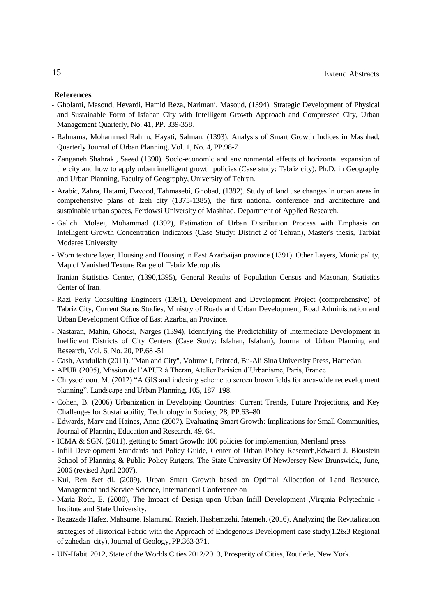- Gholami, Masoud, Hevardi, Hamid Reza, Narimani, Masoud, (1394). Strategic Development of Physical and Sustainable Form of Isfahan City with Intelligent Growth Approach and Compressed City, Urban Management Quarterly, No. 41, PP. 339-358.
- Rahnama, Mohammad Rahim, Hayati, Salman, (1393). Analysis of Smart Growth Indices in Mashhad, Quarterly Journal of Urban Planning, Vol. 1, No. 4, PP.98-71.
- Zanganeh Shahraki, Saeed (1390). Socio-economic and environmental effects of horizontal expansion of the city and how to apply urban intelligent growth policies (Case study: Tabriz city). Ph.D. in Geography and Urban Planning, Faculty of Geography, University of Tehran.
- Arabic, Zahra, Hatami, Davood, Tahmasebi, Ghobad, (1392). Study of land use changes in urban areas in comprehensive plans of Izeh city (1375-1385), the first national conference and architecture and sustainable urban spaces, Ferdowsi University of Mashhad, Department of Applied Research.
- Galichi Molaei, Mohammad (1392), Estimation of Urban Distribution Process with Emphasis on Intelligent Growth Concentration Indicators (Case Study: District 2 of Tehran), Master's thesis, Tarbiat Modares University.
- Worn texture layer, Housing and Housing in East Azarbaijan province (1391). Other Layers, Municipality, Map of Vanished Texture Range of Tabriz Metropolis.
- Iranian Statistics Center, (1390,1395), General Results of Population Census and Masonan, Statistics Center of Iran.
- Razi Periy Consulting Engineers (1391), Development and Development Project (comprehensive) of Tabriz City, Current Status Studies, Ministry of Roads and Urban Development, Road Administration and Urban Development Office of East Azarbaijan Province.
- Nastaran, Mahin, Ghodsi, Narges (1394), Identifying the Predictability of Intermediate Development in Inefficient Districts of City Centers (Case Study: Isfahan, Isfahan), Journal of Urban Planning and Research, Vol. 6, No. 20, PP.68 -51
- Cash, Asadullah (2011), "Man and City", Volume I, Printed, Bu-Ali Sina University Press, Hamedan.
- APUR (2005), Mission de l'APUR à Theran, Atelier Parisien d'Urbanisme, Paris, France
- Chrysochoou. M. (2012) "A GIS and indexing scheme to screen brownfields for area-wide redevelopment planning". Landscape and Urban Planning, 105, 187–198.
- Cohen, B. (2006) Urbanization in Developing Countries: Current Trends, Future Projections, and Key Challenges for Sustainability, Technology in Society, 28, PP.63–80.
- Edwards, Mary and Haines, Anna (2007). Evaluating Smart Growth: Implications for Small Communities, Journal of Planning Education and Research, 49. 64.
- ICMA & SGN. (2011). getting to Smart Growth: 100 policies for implemention, Meriland press
- Infill Development Standards and Policy Guide, Center of Urban Policy Research,Edward J. Bloustein School of Planning & Public Policy Rutgers, The State University Of NewJersey New Brunswick,, June, 2006 (revised April 2007).
- Kui, Ren &et dl. (2009), Urban Smart Growth based on Optimal Allocation of Land Resource, Management and Service Science, International Conference on
- Maria Roth, E. (2000), The Impact of Design upon Urban Infill Development ,Virginia Polytechnic Institute and State University.
- Rezazade Hafez, Mahsume, Islamirad, Razieh, Hashemzehi, fatemeh, (2016), Analyzing the Revitalization strategies of Historical Fabric with the Approach of Endogenous Development case study(1.2&3 Regional of zahedan city), Journal of Geology, PP.363-371.
- UN-Habit .2012, State of the Worlds Cities 2012/2013, Prosperity of Cities, Routlede, New York.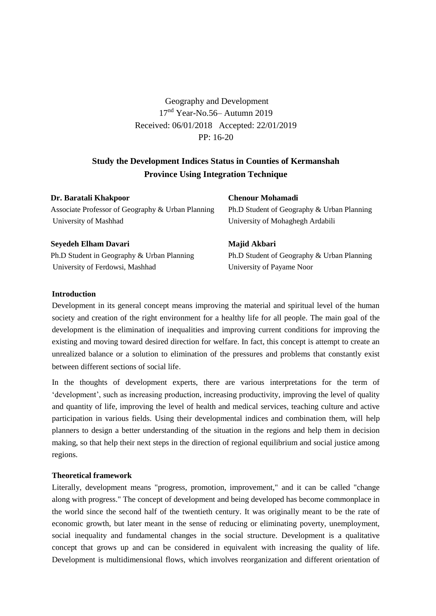Geography and Development 17nd Year-No.56– Autumn 2019 Received: 06/01/2018 Accepted: 22/01/2019 PP: 16-20

# **Study the Development Indices Status in Counties of Kermanshah Province Using Integration Technique**

| Dr. Baratali Khakpoor                             | <b>Chenour Mohamadi</b>                    |
|---------------------------------------------------|--------------------------------------------|
| Associate Professor of Geography & Urban Planning | Ph.D Student of Geography & Urban Planning |
| University of Mashhad                             | University of Mohaghegh Ardabili           |
| Seyedeh Elham Davari                              | Majid Akbari                               |
| Ph.D Student in Geography & Urban Planning        | Ph.D Student of Geography & Urban Planning |
| University of Ferdowsi, Mashhad                   | University of Payame Noor                  |

# **Introduction**

Development in its general concept means improving the material and spiritual level of the human society and creation of the right environment for a healthy life for all people. The main goal of the development is the elimination of inequalities and improving current conditions for improving the existing and moving toward desired direction for welfare. In fact, this concept is attempt to create an unrealized balance or a solution to elimination of the pressures and problems that constantly exist between different sections of social life**.**

In the thoughts of development experts, there are various interpretations for the term of 'development', such as increasing production, increasing productivity, improving the level of quality and quantity of life, improving the level of health and medical services, teaching culture and active participation in various fields. Using their developmental indices and combination them, will help planners to design a better understanding of the situation in the regions and help them in decision making, so that help their next steps in the direction of regional equilibrium and social justice among regions.

## **Theoretical framework**

Literally, development means "progress, promotion, improvement," and it can be called "change along with progress." The concept of development and being developed has become commonplace in the world since the second half of the twentieth century. It was originally meant to be the rate of economic growth, but later meant in the sense of reducing or eliminating poverty, unemployment, social inequality and fundamental changes in the social structure. Development is a qualitative concept that grows up and can be considered in equivalent with increasing the quality of life. Development is multidimensional flows, which involves reorganization and different orientation of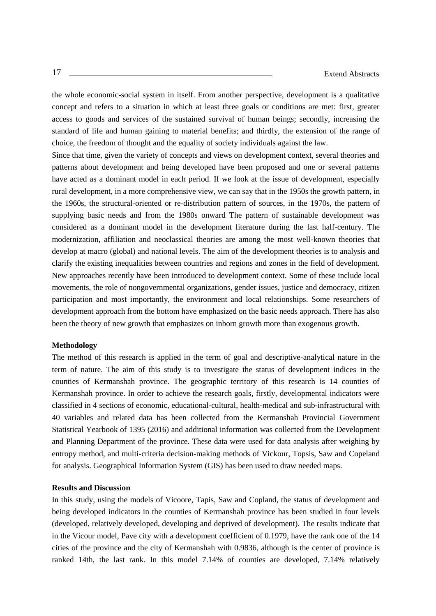the whole economic-social system in itself. From another perspective, development is a qualitative concept and refers to a situation in which at least three goals or conditions are met: first, greater access to goods and services of the sustained survival of human beings; secondly, increasing the standard of life and human gaining to material benefits; and thirdly, the extension of the range of choice, the freedom of thought and the equality of society individuals against the law.

Since that time, given the variety of concepts and views on development context, several theories and patterns about development and being developed have been proposed and one or several patterns have acted as a dominant model in each period. If we look at the issue of development, especially rural development, in a more comprehensive view, we can say that in the 1950s the growth pattern, in the 1960s, the structural-oriented or re-distribution pattern of sources, in the 1970s, the pattern of supplying basic needs and from the 1980s onward The pattern of sustainable development was considered as a dominant model in the development literature during the last half-century. The modernization, affiliation and neoclassical theories are among the most well-known theories that develop at macro (global) and national levels. The aim of the development theories is to analysis and clarify the existing inequalities between countries and regions and zones in the field of development. New approaches recently have been introduced to development context. Some of these include local movements, the role of nongovernmental organizations, gender issues, justice and democracy, citizen participation and most importantly, the environment and local relationships. Some researchers of development approach from the bottom have emphasized on the basic needs approach. There has also been the theory of new growth that emphasizes on inborn growth more than exogenous growth.

#### **Methodology**

The method of this research is applied in the term of goal and descriptive-analytical nature in the term of nature. The aim of this study is to investigate the status of development indices in the counties of Kermanshah province. The geographic territory of this research is 14 counties of Kermanshah province. In order to achieve the research goals, firstly, developmental indicators were classified in 4 sections of economic, educational-cultural, health-medical and sub-infrastructural with 40 variables and related data has been collected from the Kermanshah Provincial Government Statistical Yearbook of 1395 (2016) and additional information was collected from the Development and Planning Department of the province. These data were used for data analysis after weighing by entropy method, and multi-criteria decision-making methods of Vickour, Topsis, Saw and Copeland for analysis. Geographical Information System (GIS) has been used to draw needed maps.

#### **Results and Discussion**

In this study, using the models of Vicoore, Tapis, Saw and Copland, the status of development and being developed indicators in the counties of Kermanshah province has been studied in four levels (developed, relatively developed, developing and deprived of development). The results indicate that in the Vicour model, Pave city with a development coefficient of 0.1979, have the rank one of the 14 cities of the province and the city of Kermanshah with 0.9836, although is the center of province is ranked 14th, the last rank. In this model 7.14% of counties are developed, 7.14% relatively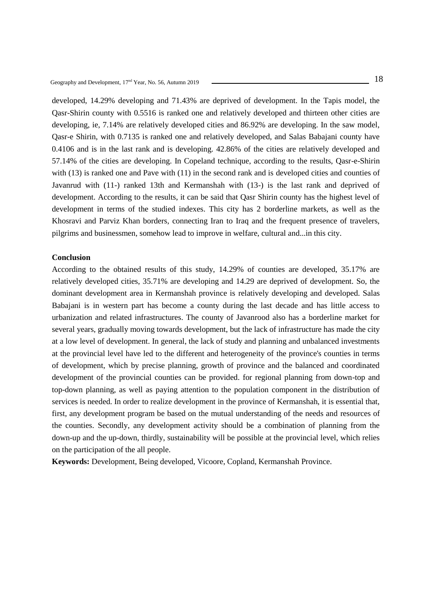developed, 14.29% developing and 71.43% are deprived of development. In the Tapis model, the Qasr-Shirin county with 0.5516 is ranked one and relatively developed and thirteen other cities are developing, ie, 7.14% are relatively developed cities and 86.92% are developing. In the saw model, Qasr-e Shirin, with 0.7135 is ranked one and relatively developed, and Salas Babajani county have 0.4106 and is in the last rank and is developing. 42.86% of the cities are relatively developed and 57.14% of the cities are developing. In Copeland technique, according to the results, Qasr-e-Shirin with (13) is ranked one and Pave with (11) in the second rank and is developed cities and counties of Javanrud with (11-) ranked 13th and Kermanshah with (13-) is the last rank and deprived of development. According to the results, it can be said that Qasr Shirin county has the highest level of development in terms of the studied indexes. This city has 2 borderline markets, as well as the Khosravi and Parviz Khan borders, connecting Iran to Iraq and the frequent presence of travelers, pilgrims and businessmen, somehow lead to improve in welfare, cultural and...in this city.

#### **Conclusion**

According to the obtained results of this study, 14.29% of counties are developed, 35.17% are relatively developed cities, 35.71% are developing and 14.29 are deprived of development. So, the dominant development area in Kermanshah province is relatively developing and developed. Salas Babajani is in western part has become a county during the last decade and has little access to urbanization and related infrastructures. The county of Javanrood also has a borderline market for several years, gradually moving towards development, but the lack of infrastructure has made the city at a low level of development. In general, the lack of study and planning and unbalanced investments at the provincial level have led to the different and heterogeneity of the province's counties in terms of development, which by precise planning, growth of province and the balanced and coordinated development of the provincial counties can be provided. for regional planning from down-top and top-down planning, as well as paying attention to the population component in the distribution of services is needed. In order to realize development in the province of Kermanshah, it is essential that, first, any development program be based on the mutual understanding of the needs and resources of the counties. Secondly, any development activity should be a combination of planning from the down-up and the up-down, thirdly, sustainability will be possible at the provincial level, which relies on the participation of the all people.

**Keywords:** Development, Being developed, Vicoore, Copland, Kermanshah Province.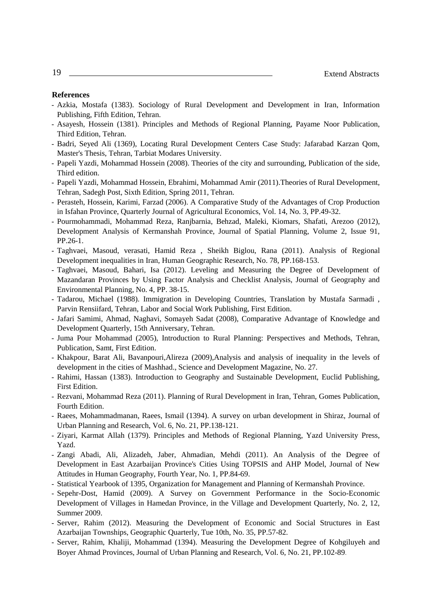- Azkia, Mostafa (1383). Sociology of Rural Development and Development in Iran, Information Publishing, Fifth Edition, Tehran.
- Asayesh, Hossein (1381). Principles and Methods of Regional Planning, Payame Noor Publication, Third Edition, Tehran.
- Badri, Seyed Ali (1369), Locating Rural Development Centers Case Study: Jafarabad Karzan Qom, Master's Thesis, Tehran, Tarbiat Modares University.
- Papeli Yazdi, Mohammad Hossein (2008). Theories of the city and surrounding, Publication of the side, Third edition.
- Papeli Yazdi, Mohammad Hossein, Ebrahimi, Mohammad Amir (2011).Theories of Rural Development, Tehran, Sadegh Post, Sixth Edition, Spring 2011, Tehran.
- Perasteh, Hossein, Karimi, Farzad (2006). A Comparative Study of the Advantages of Crop Production in Isfahan Province, Quarterly Journal of Agricultural Economics, Vol. 14, No. 3, PP.49-32.
- Pourmohammadi, Mohammad Reza, Ranjbarnia, Behzad, Maleki, Kiomars, Shafati, Arezoo (2012), Development Analysis of Kermanshah Province, Journal of Spatial Planning, Volume 2, Issue 91, PP.26-1.
- Taghvaei, Masoud, verasati, Hamid Reza , Sheikh Biglou, Rana (2011). Analysis of Regional Development inequalities in Iran, Human Geographic Research, No. 78, PP.168-153.
- Taghvaei, Masoud, Bahari, Isa (2012). Leveling and Measuring the Degree of Development of Mazandaran Provinces by Using Factor Analysis and Checklist Analysis, Journal of Geography and Environmental Planning, No. 4, PP. 38-15.
- Tadarou, Michael (1988). Immigration in Developing Countries, Translation by Mustafa Sarmadi , Parvin Rensiifard, Tehran, Labor and Social Work Publishing, First Edition.
- Jafari Samimi, Ahmad, Naghavi, Somayeh Sadat (2008), Comparative Advantage of Knowledge and Development Quarterly, 15th Anniversary, Tehran.
- Juma Pour Mohammad (2005), Introduction to Rural Planning: Perspectives and Methods, Tehran, Publication, Samt, First Edition.
- Khakpour, Barat Ali, Bavanpouri,Alireza (2009),Analysis and analysis of inequality in the levels of development in the cities of Mashhad., Science and Development Magazine, No. 27.
- Rahimi, Hassan (1383). Introduction to Geography and Sustainable Development, Euclid Publishing, First Edition.
- Rezvani, Mohammad Reza (2011). Planning of Rural Development in Iran, Tehran, Gomes Publication, Fourth Edition.
- Raees, Mohammadmanan, Raees, Ismail (1394). A survey on urban development in Shiraz, Journal of Urban Planning and Research, Vol. 6, No. 21, PP.138-121.
- Ziyari, Karmat Allah (1379). Principles and Methods of Regional Planning, Yazd University Press, Yazd.
- Zangi Abadi, Ali, Alizadeh, Jaber, Ahmadian, Mehdi (2011). An Analysis of the Degree of Development in East Azarbaijan Province's Cities Using TOPSIS and AHP Model, Journal of New Attitudes in Human Geography, Fourth Year, No. 1, PP.84-69.
- Statistical Yearbook of 1395, Organization for Management and Planning of Kermanshah Province.
- Sepehr-Dost, Hamid (2009). A Survey on Government Performance in the Socio-Economic Development of Villages in Hamedan Province, in the Village and Development Quarterly, No. 2, 12, Summer 2009.
- Server, Rahim (2012). Measuring the Development of Economic and Social Structures in East Azarbaijan Townships, Geographic Quarterly, Tue 10th, No. 35, PP.57-82.
- Server, Rahim, Khaliji, Mohammad (1394). Measuring the Development Degree of Kohgiluyeh and Boyer Ahmad Provinces, Journal of Urban Planning and Research, Vol. 6, No. 21, PP.102-89.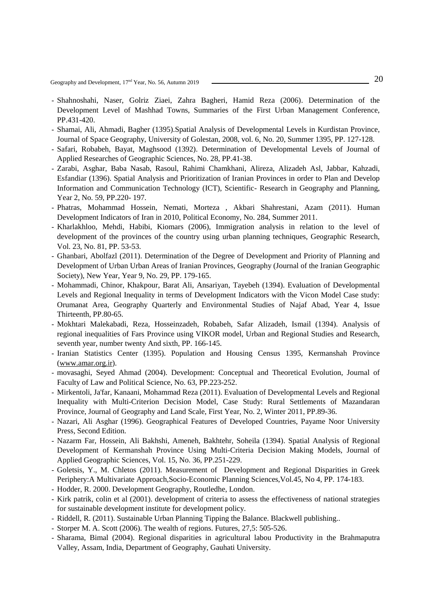20 Geography and Development, 17nd Year, No. 56, Autumn <sup>2019</sup>

- Shahnoshahi, Naser, Golriz Ziaei, Zahra Bagheri, Hamid Reza (2006). Determination of the Development Level of Mashhad Towns, Summaries of the First Urban Management Conference, PP.431-420.
- Shamai, Ali, Ahmadi, Bagher (1395).Spatial Analysis of Developmental Levels in Kurdistan Province, Journal of Space Geography, University of Golestan, 2008, vol. 6, No. 20, Summer 1395, PP. 127-128.
- Safari, Robabeh, Bayat, Maghsood (1392). Determination of Developmental Levels of Journal of Applied Researches of Geographic Sciences, No. 28, PP.41-38.
- Zarabi, Asghar, Baba Nasab, Rasoul, Rahimi Chamkhani, Alireza, Alizadeh Asl, Jabbar, Kahzadi, Esfandiar (1396). Spatial Analysis and Prioritization of Iranian Provinces in order to Plan and Develop Information and Communication Technology (ICT), Scientific- Research in Geography and Planning, Year 2, No. 59, PP.220- 197.
- Phatras, Mohammad Hossein, Nemati, Morteza , Akbari Shahrestani, Azam (2011). Human Development Indicators of Iran in 2010, Political Economy, No. 284, Summer 2011.
- Kharlakhloo, Mehdi, Habibi, Kiomars (2006), Immigration analysis in relation to the level of development of the provinces of the country using urban planning techniques, Geographic Research, Vol. 23, No. 81, PP. 53-53.
- Ghanbari, Abolfazl (2011). Determination of the Degree of Development and Priority of Planning and Development of Urban Urban Areas of Iranian Provinces, Geography (Journal of the Iranian Geographic Society), New Year, Year 9, No. 29, PP. 179-165.
- Mohammadi, Chinor, Khakpour, Barat Ali, Ansariyan, Tayebeh (1394). Evaluation of Developmental Levels and Regional Inequality in terms of Development Indicators with the Vicon Model Case study: Orumanat Area, Geography Quarterly and Environmental Studies of Najaf Abad, Year 4, Issue Thirteenth, PP.80-65.
- Mokhtari Malekabadi, Reza, Hosseinzadeh, Robabeh, Safar Alizadeh, Ismail (1394). Analysis of regional inequalities of Fars Province using VIKOR model, Urban and Regional Studies and Research, seventh year, number twenty And sixth, PP. 166-145.
- Iranian Statistics Center (1395). Population and Housing Census 1395, Kermanshah Province [\(www.amar.org.ir\)](http://www.amar.org.ir/).
- movasaghi, Seyed Ahmad (2004). Development: Conceptual and Theoretical Evolution, Journal of Faculty of Law and Political Science, No. 63, PP.223-252.
- Mirkentoli, Ja'far, Kanaani, Mohammad Reza (2011). Evaluation of Developmental Levels and Regional Inequality with Multi-Criterion Decision Model, Case Study: Rural Settlements of Mazandaran Province, Journal of Geography and Land Scale, First Year, No. 2, Winter 2011, PP.89-36.
- Nazari, Ali Asghar (1996). Geographical Features of Developed Countries, Payame Noor University Press, Second Edition.
- Nazarm Far, Hossein, Ali Bakhshi, Ameneh, Bakhtehr, Soheila (1394). Spatial Analysis of Regional Development of Kermanshah Province Using Multi-Criteria Decision Making Models, Journal of Applied Geographic Sciences, Vol. 15, No. 36, PP.251-229.
- Goletsis, Y., M. Chletos (2011). Measurement of Development and Regional Disparities in Greek Periphery:A Multivariate Approach,Socio-Economic Planning Sciences,Vol.45, No 4, PP. 174-183.
- Hodder, R. 2000. Development Geography, Routledhe, London.
- Kirk patrik, colin et al (2001). development of criteria to assess the effectiveness of national strategies for sustainable development institute for development policy.
- Riddell, R. (2011). Sustainable Urban Planning Tipping the Balance. Blackwell publishing..
- Storper M. A. Scott (2006). The wealth of regions. Futures, 27,5: 505-526.
- Sharama, Bimal (2004). Regional disparities in agricultural labou Productivity in the Brahmaputra Valley, Assam, India, Department of Geography, Gauhati University.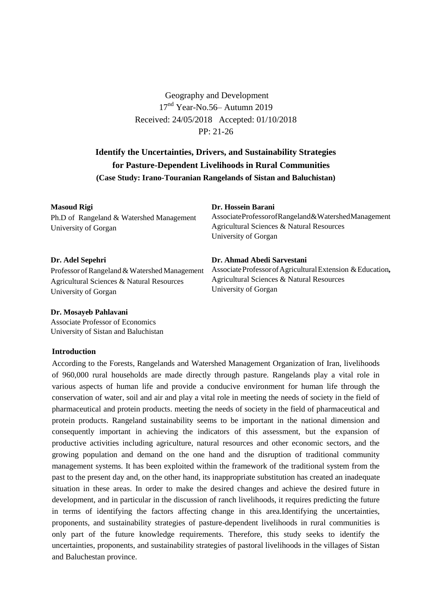Geography and Development 17<sup>nd</sup> Year-No.56– Autumn 2019 Received: 24/05/2018 Accepted: 01/10/2018 PP: 21-26

# **Identify the Uncertainties, Drivers, and Sustainability Strategies for Pasture-Dependent Livelihoods in Rural Communities (Case Study: Irano-Touranian Rangelands of Sistan and Baluchistan)**

#### **Masoud Rigi**

Ph.D of Rangeland & Watershed Management University of Gorgan

#### **Dr. Hossein Barani**

University of Gorgan

**Dr. Ahmad Abedi Sarvestani**

Agricultural Sciences & Natural Resources

AssociateProfessorofRangeland&WatershedManagement Agricultural Sciences & Natural Resources University of Gorgan

Associate Professor of Agricultural Extension & Education,

# **Dr. Adel Sepehri**

Professor of Rangeland & Watershed Management Agricultural Sciences & Natural Resources University of Gorgan

#### **Dr. Mosayeb Pahlavani**

Associate Professor of Economics University of Sistan and Baluchistan

# **Introduction**

According to the Forests, Rangelands and Watershed Management Organization of Iran, livelihoods of 960,000 rural households are made directly through pasture. Rangelands play a vital role in various aspects of human life and provide a conducive environment for human life through the conservation of water, soil and air and play a vital role in meeting the needs of society in the field of pharmaceutical and protein products. meeting the needs of society in the field of pharmaceutical and protein products. Rangeland sustainability seems to be important in the national dimension and consequently important in achieving the indicators of this assessment, but the expansion of productive activities including agriculture, natural resources and other economic sectors, and the growing population and demand on the one hand and the disruption of traditional community management systems. It has been exploited within the framework of the traditional system from the past to the present day and, on the other hand, its inappropriate substitution has created an inadequate situation in these areas. In order to make the desired changes and achieve the desired future in development, and in particular in the discussion of ranch livelihoods, it requires predicting the future in terms of identifying the factors affecting change in this area.Identifying the uncertainties, proponents, and sustainability strategies of pasture-dependent livelihoods in rural communities is only part of the future knowledge requirements. Therefore, this study seeks to identify the uncertainties, proponents, and sustainability strategies of pastoral livelihoods in the villages of Sistan and Baluchestan province.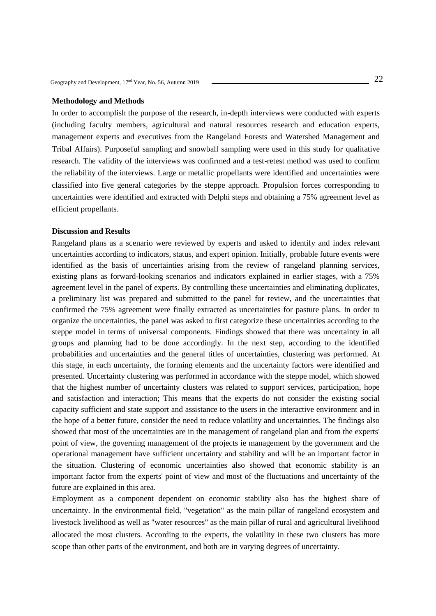### **Methodology and Methods**

In order to accomplish the purpose of the research, in-depth interviews were conducted with experts (including faculty members, agricultural and natural resources research and education experts, management experts and executives from the Rangeland Forests and Watershed Management and Tribal Affairs). Purposeful sampling and snowball sampling were used in this study for qualitative research. The validity of the interviews was confirmed and a test-retest method was used to confirm the reliability of the interviews. Large or metallic propellants were identified and uncertainties were classified into five general categories by the steppe approach. Propulsion forces corresponding to uncertainties were identified and extracted with Delphi steps and obtaining a 75% agreement level as efficient propellants.

## **Discussion and Results**

Rangeland plans as a scenario were reviewed by experts and asked to identify and index relevant uncertainties according to indicators, status, and expert opinion. Initially, probable future events were identified as the basis of uncertainties arising from the review of rangeland planning services, existing plans as forward-looking scenarios and indicators explained in earlier stages, with a 75% agreement level in the panel of experts. By controlling these uncertainties and eliminating duplicates, a preliminary list was prepared and submitted to the panel for review, and the uncertainties that confirmed the 75% agreement were finally extracted as uncertainties for pasture plans. In order to organize the uncertainties, the panel was asked to first categorize these uncertainties according to the steppe model in terms of universal components. Findings showed that there was uncertainty in all groups and planning had to be done accordingly. In the next step, according to the identified probabilities and uncertainties and the general titles of uncertainties, clustering was performed. At this stage, in each uncertainty, the forming elements and the uncertainty factors were identified and presented. Uncertainty clustering was performed in accordance with the steppe model, which showed that the highest number of uncertainty clusters was related to support services, participation, hope and satisfaction and interaction; This means that the experts do not consider the existing social capacity sufficient and state support and assistance to the users in the interactive environment and in the hope of a better future, consider the need to reduce volatility and uncertainties. The findings also showed that most of the uncertainties are in the management of rangeland plan and from the experts' point of view, the governing management of the projects ie management by the government and the operational management have sufficient uncertainty and stability and will be an important factor in the situation. Clustering of economic uncertainties also showed that economic stability is an important factor from the experts' point of view and most of the fluctuations and uncertainty of the future are explained in this area.

Employment as a component dependent on economic stability also has the highest share of uncertainty. In the environmental field, "vegetation" as the main pillar of rangeland ecosystem and livestock livelihood as well as "water resources" as the main pillar of rural and agricultural livelihood allocated the most clusters. According to the experts, the volatility in these two clusters has more scope than other parts of the environment, and both are in varying degrees of uncertainty.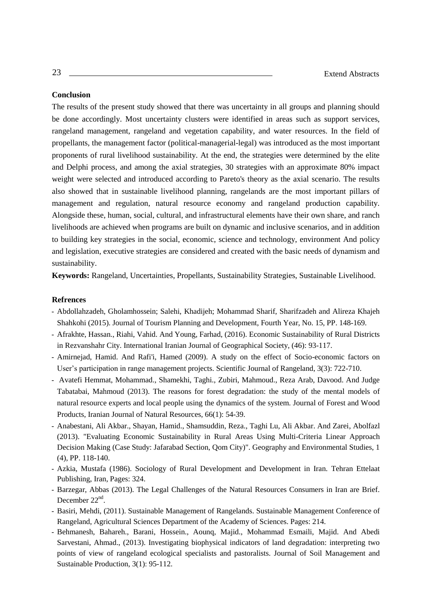## **Conclusion**

The results of the present study showed that there was uncertainty in all groups and planning should be done accordingly. Most uncertainty clusters were identified in areas such as support services, rangeland management, rangeland and vegetation capability, and water resources. In the field of propellants, the management factor (political-managerial-legal) was introduced as the most important proponents of rural livelihood sustainability. At the end, the strategies were determined by the elite and Delphi process, and among the axial strategies, 30 strategies with an approximate 80% impact weight were selected and introduced according to Pareto's theory as the axial scenario. The results also showed that in sustainable livelihood planning, rangelands are the most important pillars of management and regulation, natural resource economy and rangeland production capability. Alongside these, human, social, cultural, and infrastructural elements have their own share, and ranch livelihoods are achieved when programs are built on dynamic and inclusive scenarios, and in addition to building key strategies in the social, economic, science and technology, environment And policy and legislation, executive strategies are considered and created with the basic needs of dynamism and sustainability.

**Keywords:** Rangeland, Uncertainties, Propellants, Sustainability Strategies, Sustainable Livelihood.

- Abdollahzadeh, Gholamhossein; Salehi, Khadijeh; Mohammad Sharif, Sharifzadeh and Alireza Khajeh Shahkohi (2015). Journal of Tourism Planning and Development, Fourth Year, No. 15, PP. 148-169.
- Afrakhte, Hassan., Riahi, Vahid. And Young, Farhad, (2016). Economic Sustainability of Rural Districts in Rezvanshahr City. International Iranian Journal of Geographical Society, (46): 93-117.
- Amirnejad, Hamid. And Rafi'i, Hamed (2009). A study on the effect of Socio-economic factors on User's participation in range management projects. Scientific Journal of Rangeland, 3(3): 722-710.
- Avatefi Hemmat, Mohammad., Shamekhi, Taghi., Zubiri, Mahmoud., Reza Arab, Davood. And Judge Tabatabai, Mahmoud (2013). The reasons for forest degradation: the study of the mental models of natural resource experts and local people using the dynamics of the system. Journal of Forest and Wood Products, Iranian Journal of Natural Resources, 66(1): 54-39.
- Anabestani, Ali Akbar., Shayan, Hamid., Shamsuddin, Reza., Taghi Lu, Ali Akbar. And Zarei, Abolfazl (2013). "Evaluating Economic Sustainability in Rural Areas Using Multi-Criteria Linear Approach Decision Making (Case Study: Jafarabad Section, Qom City)". Geography and Environmental Studies, 1 (4), PP. 118-140.
- Azkia, Mustafa (1986). Sociology of Rural Development and Development in Iran. Tehran Ettelaat Publishing, Iran, Pages: 324.
- Barzegar, Abbas (2013). The Legal Challenges of the Natural Resources Consumers in Iran are Brief. December 22<sup>nd</sup>.
- Basiri, Mehdi, (2011). Sustainable Management of Rangelands. Sustainable Management Conference of Rangeland, Agricultural Sciences Department of the Academy of Sciences. Pages: 214.
- Behmanesh, Bahareh., Barani, Hossein., Aounq, Majid., Mohammad Esmaili, Majid. And Abedi Sarvestani, Ahmad., (2013). Investigating biophysical indicators of land degradation: interpreting two points of view of rangeland ecological specialists and pastoralists. Journal of Soil Management and Sustainable Production, 3(1): 95-112.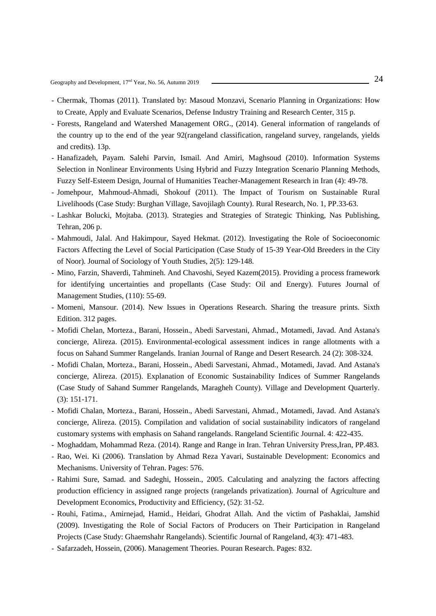- Chermak, Thomas (2011). Translated by: Masoud Monzavi, Scenario Planning in Organizations: How to Create, Apply and Evaluate Scenarios, Defense Industry Training and Research Center, 315 p.
- Forests, Rangeland and Watershed Management ORG., (2014). General information of rangelands of the country up to the end of the year 92(rangeland classification, rangeland survey, rangelands, yields and credits). 13p.
- Hanafizadeh, Payam. Salehi Parvin, Ismail. And Amiri, Maghsoud (2010). Information Systems Selection in Nonlinear Environments Using Hybrid and Fuzzy Integration Scenario Planning Methods, Fuzzy Self-Esteem Design, Journal of Humanities Teacher-Management Research in Iran (4): 49-78.
- Jomehpour, Mahmoud-Ahmadi, Shokouf (2011). The Impact of Tourism on Sustainable Rural Livelihoods (Case Study: Burghan Village, Savojilagh County). Rural Research, No. 1, PP.33-63.
- Lashkar Bolucki, Mojtaba. (2013). Strategies and Strategies of Strategic Thinking, Nas Publishing, Tehran, 206 p.
- Mahmoudi, Jalal. And Hakimpour, Sayed Hekmat. (2012). Investigating the Role of Socioeconomic Factors Affecting the Level of Social Participation (Case Study of 15-39 Year-Old Breeders in the City of Noor). Journal of Sociology of Youth Studies, 2(5): 129-148.
- Mino, Farzin, Shaverdi, Tahmineh. And Chavoshi, Seyed Kazem(2015). Providing a process framework for identifying uncertainties and propellants (Case Study: Oil and Energy). Futures Journal of Management Studies, (110): 55-69.
- Momeni, Mansour. (2014). New Issues in Operations Research. Sharing the treasure prints. Sixth Edition. 312 pages.
- Mofidi Chelan, Morteza., Barani, Hossein., Abedi Sarvestani, Ahmad., Motamedi, Javad. And Astana's concierge, Alireza. (2015). Environmental-ecological assessment indices in range allotments with a focus on Sahand Summer Rangelands. Iranian Journal of Range and Desert Research. 24 (2): 308-324.
- Mofidi Chalan, Morteza., Barani, Hossein., Abedi Sarvestani, Ahmad., Motamedi, Javad. And Astana's concierge, Alireza. (2015). Explanation of Economic Sustainability Indices of Summer Rangelands (Case Study of Sahand Summer Rangelands, Maragheh County). Village and Development Quarterly. (3): 151-171.
- Mofidi Chalan, Morteza., Barani, Hossein., Abedi Sarvestani, Ahmad., Motamedi, Javad. And Astana's concierge, Alireza. (2015). Compilation and validation of social sustainability indicators of rangeland customary systems with emphasis on Sahand rangelands. Rangeland Scientific Journal. 4: 422-435.
- Moghaddam, Mohammad Reza. (2014). Range and Range in Iran. Tehran University Press,Iran, PP.483.
- Rao, Wei. Ki (2006). Translation by Ahmad Reza Yavari, Sustainable Development: Economics and Mechanisms. University of Tehran. Pages: 576.
- Rahimi Sure, Samad. and Sadeghi, Hossein., 2005. Calculating and analyzing the factors affecting production efficiency in assigned range projects (rangelands privatization). Journal of Agriculture and Development Economics, Productivity and Efficiency, (52): 31-52.
- Rouhi, Fatima., Amirnejad, Hamid., Heidari, Ghodrat Allah. And the victim of Pashaklai, Jamshid (2009). Investigating the Role of Social Factors of Producers on Their Participation in Rangeland Projects (Case Study: Ghaemshahr Rangelands). Scientific Journal of Rangeland, 4(3): 471-483.
- Safarzadeh, Hossein, (2006). Management Theories. Pouran Research. Pages: 832.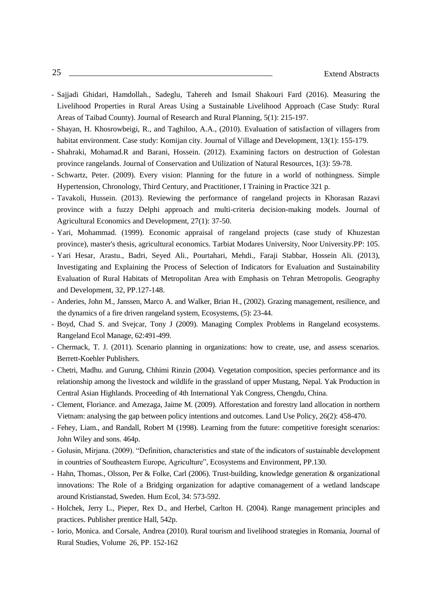- Sajjadi Ghidari, Hamdollah., Sadeglu, Tahereh and Ismail Shakouri Fard (2016). Measuring the Livelihood Properties in Rural Areas Using a Sustainable Livelihood Approach (Case Study: Rural Areas of Taibad County). Journal of Research and Rural Planning, 5(1): 215-197.
- Shayan, H. Khosrowbeigi, R., and Taghiloo, A.A., (2010). Evaluation of satisfaction of villagers from habitat environment. Case study: Komijan city. Journal of Village and Development, 13(1): 155-179.
- Shahraki, Mohamad.R and Barani, Hossein. (2012). Examining factors on destruction of Golestan province rangelands. Journal of Conservation and Utilization of Natural Resources, 1(3): 59-78.
- Schwartz, Peter. (2009). Every vision: Planning for the future in a world of nothingness. Simple Hypertension, Chronology, Third Century, and Practitioner, I Training in Practice 321 p.
- Tavakoli, Hussein. (2013). Reviewing the performance of rangeland projects in Khorasan Razavi province with a fuzzy Delphi approach and multi-criteria decision-making models. Journal of Agricultural Economics and Development, 27(1): 37-50.
- Yari, Mohammad. (1999). Economic appraisal of rangeland projects (case study of Khuzestan province), master's thesis, agricultural economics. Tarbiat Modares University, Noor University.PP: 105.
- Yari Hesar, Arastu., Badri, Seyed Ali., Pourtahari, Mehdi., Faraji Stabbar, Hossein Ali. (2013), Investigating and Explaining the Process of Selection of Indicators for Evaluation and Sustainability Evaluation of Rural Habitats of Metropolitan Area with Emphasis on Tehran Metropolis. Geography and Development, 32, PP.127-148.
- Anderies, John M., Janssen, Marco A. and Walker, Brian H., (2002). Grazing management, resilience, and the dynamics of a fire driven rangeland system, Ecosystems, (5): 23-44.
- Boyd, Chad S. and Svejcar, Tony J (2009). Managing Complex Problems in Rangeland ecosystems. Rangeland Ecol Manage, 62:491-499.
- Chermack, T. J. (2011). Scenario planning in organizations: how to create, use, and assess scenarios. Berrett-Koehler Publishers.
- Chetri, Madhu. and Gurung, Chhimi Rinzin (2004). Vegetation composition, species performance and its relationship among the livestock and wildlife in the grassland of upper Mustang, Nepal. Yak Production in Central Asian Highlands. Proceeding of 4th International Yak Congress, Chengdu, China.
- Clement, Floriance. and Amezaga, Jaime M. (2009). Afforestation and forestry land allocation in northern Vietnam: analysing the gap between policy intentions and outcomes. Land Use Policy, 26(2): 458-470.
- Fehey, Liam., and Randall, Robert M (1998). Learning from the future: competitive foresight scenarios: John Wiley and sons. 464p.
- Golusin, Mirjana. (2009). "Definition, characteristics and state of the indicators of sustainable development in countries of Southeastern Europe, Agriculture", Ecosystems and Environment, PP.130.
- Hahn, Thomas., Olsson, Per & Folke, Carl (2006). Trust-building, knowledge generation & organizational innovations: The Role of a Bridging organization for adaptive comanagement of a wetland landscape around Kristianstad, Sweden. Hum Ecol, 34: 573-592.
- Holchek, Jerry L., Pieper, Rex D., and Herbel, Carlton H. (2004). Range management principles and practices. Publisher prentice Hall, 542p.
- Iorio, Monica. and Corsale, Andrea (2010). Rural tourism and livelihood strategies in Romania, Journal of Rural Studies, Volume 26, PP. 152-162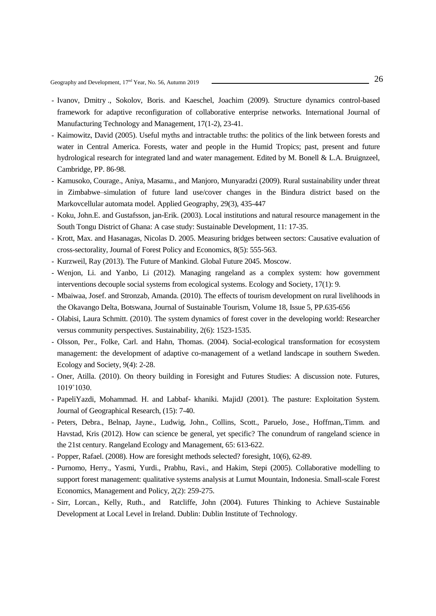Geography and Development,  $17<sup>nd</sup>$  Year, No. 56, Autumn 2019

- Ivanov, Dmitry ., Sokolov, Boris. and Kaeschel, Joachim (2009). Structure dynamics control-based framework for adaptive reconfiguration of collaborative enterprise networks. International Journal of Manufacturing Technology and Management, 17(1-2), 23-41.
- Kaimowitz, David (2005). Useful myths and intractable truths: the politics of the link between forests and water in Central America. Forests, water and people in the Humid Tropics; past, present and future hydrological research for integrated land and water management. Edited by M. Bonell & L.A. Bruignzeel, Cambridge, PP. 86-98.
- Kamusoko, Courage., Aniya, Masamu., and Manjoro, Munyaradzi (2009). Rural sustainability under threat in Zimbabwe–simulation of future land use/cover changes in the Bindura district based on the Markovcellular automata model. Applied Geography, 29(3), 435-447
- Koku, John.E. and Gustafsson, jan-Erik. (2003). Local institutions and natural resource management in the South Tongu District of Ghana: A case study: Sustainable Development, 11: 17-35.
- Krott, Max. and Hasanagas, Nicolas D. 2005. Measuring bridges between sectors: Causative evaluation of cross-sectorality, Journal of Forest Policy and Economics, 8(5): 555-563.
- Kurzweil, Ray (2013). The Future of Mankind. Global Future 2045. Moscow.
- Wenjon, Li. and Yanbo, Li (2012). Managing rangeland as a complex system: how government interventions decouple social systems from ecological systems. Ecology and Society, 17(1): 9.
- Mbaiwaa, Josef. and Stronzab, Amanda. (2010). The effects of tourism development on rural livelihoods in the Okavango Delta, Botswana, Journal of Sustainable Tourism, Volume 18, Issue 5, PP.635-656
- Olabisi, Laura Schmitt. (2010). The system dynamics of forest cover in the developing world: Researcher versus community perspectives. Sustainability, 2(6): 1523-1535.
- Olsson, Per., Folke, Carl. and Hahn, Thomas. (2004). Social-ecological transformation for ecosystem management: the development of adaptive co-management of a wetland landscape in southern Sweden. Ecology and Society, 9(4): 2-28.
- Oner, Atilla. (2010). On theory building in Foresight and Futures Studies: A discussion note. Futures, 1019˚1030.
- PapeliYazdi, Mohammad. H. and Labbaf- khaniki. MajidJ (2001). The pasture: Exploitation System. Journal of Geographical Research, (15): 7-40.
- Peters, Debra., Belnap, Jayne., Ludwig, John., Collins, Scott., Paruelo, Jose., Hoffman,.Timm. and Havstad, Kris (2012). How can science be general, yet specific? The conundrum of rangeland science in the 21st century. Rangeland Ecology and Management, 65: 613-622.
- Popper, Rafael. (2008). How are foresight methods selected? foresight, 10(6), 62-89.
- Purnomo, Herry., Yasmi, Yurdi., Prabhu, Ravi., and Hakim, Stepi (2005). Collaborative modelling to support forest management: qualitative systems analysis at Lumut Mountain, Indonesia. Small-scale Forest Economics, Management and Policy, 2(2): 259-275.
- Sirr, Lorcan., Kelly, Ruth., and Ratcliffe, John (2004). Futures Thinking to Achieve Sustainable Development at Local Level in Ireland. Dublin: Dublin Institute of Technology.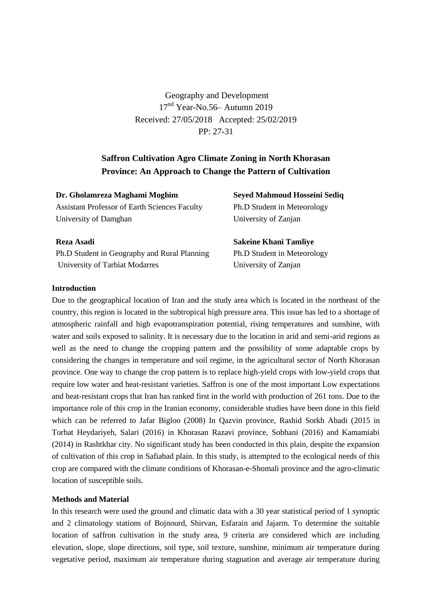Geography and Development 17<sup>nd</sup> Year-No.56– Autumn 2019 Received: 27/05/2018 Accepted: 25/02/2019 PP: 27-31

# **Saffron Cultivation Agro Climate Zoning in North Khorasan Province: An Approach to Change the Pattern of Cultivation**

**Dr. Gholamreza Maghami Moghim** Assistant Professor of Earth Sciences Faculty University of Damghan

**Seyed Mahmoud Hosseini Sediq** Ph.D Student in Meteorology University of Zanjan

# **Reza Asadi**

Ph.D Student in Geography and Rural Planning University of Tarbiat Modarres

**Sakeine Khani Tamliye** Ph.D Student in Meteorology University of Zanjan

## **Introduction**

Due to the geographical location of Iran and the study area which is located in the northeast of the country, this region is located in the subtropical high pressure area. This issue has led to a shortage of atmospheric rainfall and high evapotranspiration potential, rising temperatures and sunshine, with water and soils exposed to salinity. It is necessary due to the location in arid and semi-arid regions as well as the need to change the cropping pattern and the possibility of some adaptable crops by considering the changes in temperature and soil regime, in the agricultural sector of North Khorasan province. One way to change the crop pattern is to replace high-yield crops with low-yield crops that require low water and heat-resistant varieties. Saffron is one of the most important Low expectations and heat-resistant crops that Iran has ranked first in the world with production of 261 tons. Due to the importance role of this crop in the Iranian economy, considerable studies have been done in this field which can be referred to Jafar Bigloo (2008) In Qazvin province, Rashid Sorkh Abadi (2015 in Torbat Heydariyeh, Salari (2016) in Khorasan Razavi province, Sobhani (2016) and Kamamiabi (2014) in Rashtkhar city. No significant study has been conducted in this plain, despite the expansion of cultivation of this crop in Safiabad plain. In this study, is attempted to the ecological needs of this crop are compared with the climate conditions of Khorasan-e-Shomali province and the agro-climatic location of susceptible soils.

#### **Methods and Material**

In this research were used the ground and climatic data with a 30 year statistical period of 1 synoptic and 2 climatology stations of Bojnourd, Shirvan, Esfarain and Jajarm. To determine the suitable location of saffron cultivation in the study area, 9 criteria are considered which are including elevation, slope, slope directions, soil type, soil texture, sunshine, minimum air temperature during vegetative period, maximum air temperature during stagnation and average air temperature during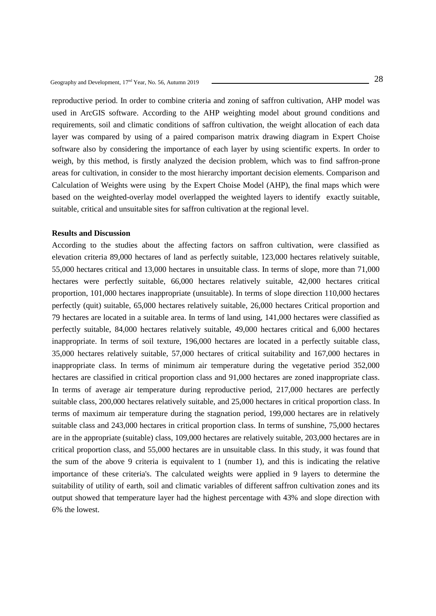reproductive period. In order to combine criteria and zoning of saffron cultivation, AHP model was used in ArcGIS software. According to the AHP weighting model about ground conditions and requirements, soil and climatic conditions of saffron cultivation, the weight allocation of each data layer was compared by using of a paired comparison matrix drawing diagram in Expert Choise software also by considering the importance of each layer by using scientific experts. In order to weigh, by this method, is firstly analyzed the decision problem, which was to find saffron-prone areas for cultivation, in consider to the most hierarchy important decision elements. Comparison and Calculation of Weights were using by the Expert Choise Model (AHP), the final maps which were based on the weighted-overlay model overlapped the weighted layers to identify exactly suitable, suitable, critical and unsuitable sites for saffron cultivation at the regional level.

## **Results and Discussion**

According to the studies about the affecting factors on saffron cultivation, were classified as elevation criteria 89,000 hectares of land as perfectly suitable, 123,000 hectares relatively suitable, 55,000 hectares critical and 13,000 hectares in unsuitable class. In terms of slope, more than 71,000 hectares were perfectly suitable, 66,000 hectares relatively suitable, 42,000 hectares critical proportion, 101,000 hectares inappropriate (unsuitable). In terms of slope direction 110,000 hectares perfectly (quit) suitable, 65,000 hectares relatively suitable, 26,000 hectares Critical proportion and 79 hectares are located in a suitable area. In terms of land using, 141,000 hectares were classified as perfectly suitable, 84,000 hectares relatively suitable, 49,000 hectares critical and 6,000 hectares inappropriate. In terms of soil texture, 196,000 hectares are located in a perfectly suitable class, 35,000 hectares relatively suitable, 57,000 hectares of critical suitability and 167,000 hectares in inappropriate class. In terms of minimum air temperature during the vegetative period 352,000 hectares are classified in critical proportion class and 91,000 hectares are zoned inappropriate class. In terms of average air temperature during reproductive period, 217,000 hectares are perfectly suitable class, 200,000 hectares relatively suitable, and 25,000 hectares in critical proportion class. In terms of maximum air temperature during the stagnation period, 199,000 hectares are in relatively suitable class and 243,000 hectares in critical proportion class. In terms of sunshine, 75,000 hectares are in the appropriate (suitable) class, 109,000 hectares are relatively suitable, 203,000 hectares are in critical proportion class, and 55,000 hectares are in unsuitable class. In this study, it was found that the sum of the above 9 criteria is equivalent to 1 (number 1), and this is indicating the relative importance of these criteria's. The calculated weights were applied in 9 layers to determine the suitability of utility of earth, soil and climatic variables of different saffron cultivation zones and its output showed that temperature layer had the highest percentage with 43% and slope direction with 6% the lowest.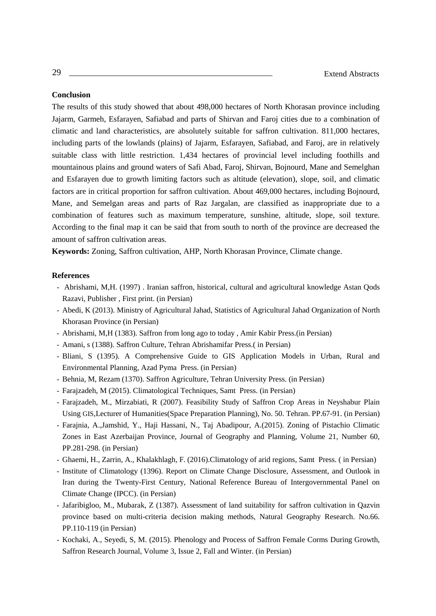#### **Conclusion**

The results of this study showed that about 498,000 hectares of North Khorasan province including Jajarm, Garmeh, Esfarayen, Safiabad and parts of Shirvan and Faroj cities due to a combination of climatic and land characteristics, are absolutely suitable for saffron cultivation. 811,000 hectares, including parts of the lowlands (plains) of Jajarm, Esfarayen, Safiabad, and Faroj, are in relatively suitable class with little restriction. 1,434 hectares of provincial level including foothills and mountainous plains and ground waters of Safi Abad, Faroj, Shirvan, Bojnourd, Mane and Semelghan and Esfarayen due to growth limiting factors such as altitude (elevation), slope, soil, and climatic factors are in critical proportion for saffron cultivation. About 469,000 hectares, including Bojnourd, Mane, and Semelgan areas and parts of Raz Jargalan, are classified as inappropriate due to a combination of features such as maximum temperature, sunshine, altitude, slope, soil texture. According to the final map it can be said that from south to north of the province are decreased the amount of saffron cultivation areas.

**Keywords:** Zoning, Saffron cultivation, AHP, North Khorasan Province, Climate change.

- Abrishami, M,H. (1997) [.](https://translate.googleusercontent.com/translate_c?depth=1&hl=en&prev=search&rurl=translate.google.com&sl=fa&sp=nmt4&u=https://www.gisoom.com/search/book/nasher-1068/%25D8%25A7%25D9%2586%25D8%25AA%25D8%25B4%25D8%25A7%25D8%25B1%25D8%25A7%25D8%25AA-%25D8%25A2%25D8%25B3%25D8%25AA%25D8%25A7%25D9%2586-%25D9%2582%25D8%25AF%25D8%25B3-%25D8%25B1%25D8%25B6%25D9%2588%25DB%258C-%25D9%2585%25D9%2588%25D8%25B3%25D8%25B3%25D9%2587-%25DA%2586%25D8%25A7%25D9%25BE-%25D9%2588-%25D8%25A7%25D9%2586%25D8%25AA%25D8%25B4%25D8%25A7%25D8%25B1%25D8%25A7%25D8%25AA/&xid=17259,15700019,15700186,15700190,15700256,15700259,15700262,15700265&usg=ALkJrhhI570OZiGsvINuDNQ9Md0GFQ93aw) [Iranian saffron, historical, cultural and agricultural knowledge](https://translate.googleusercontent.com/translate_c?depth=1&hl=en&prev=search&rurl=translate.google.com&sl=fa&sp=nmt4&u=https://www.gisoom.com/search/book/nasher-1068/%25D8%25A7%25D9%2586%25D8%25AA%25D8%25B4%25D8%25A7%25D8%25B1%25D8%25A7%25D8%25AA-%25D8%25A2%25D8%25B3%25D8%25AA%25D8%25A7%25D9%2586-%25D9%2582%25D8%25AF%25D8%25B3-%25D8%25B1%25D8%25B6%25D9%2588%25DB%258C-%25D9%2585%25D9%2588%25D8%25B3%25D8%25B3%25D9%2587-%25DA%2586%25D8%25A7%25D9%25BE-%25D9%2588-%25D8%25A7%25D9%2586%25D8%25AA%25D8%25B4%25D8%25A7%25D8%25B1%25D8%25A7%25D8%25AA/&xid=17259,15700019,15700186,15700190,15700256,15700259,15700262,15700265&usg=ALkJrhhI570OZiGsvINuDNQ9Md0GFQ93aw) Astan Qods Razavi, Publisher , First print. (in Persian)
- Abedi, K (2013). Ministry of Agricultural Jahad, Statistics of Agricultural Jahad Organization of North Khorasan Province (in Persian)
- Abrishami, M,H (1383). Saffron from long ago to today , [Amir Kabir](https://translate.googleusercontent.com/translate_c?depth=1&hl=en&prev=search&rurl=translate.google.com&sl=fa&sp=nmt4&u=https://shahreketabonline.com/products/publication/2440/&xid=17259,15700019,15700186,15700190,15700256,15700259,15700262,15700265&usg=ALkJrhjIV_m4WGvH1bHXqsStf_g4E49K8Q) Press.(in Persian)
- Amani, s (1388). Saffron Culture, Tehran Abrishamifar Press.( in Persian)
- Bliani, S (1395). A Comprehensive Guide to GIS Application Models in Urban, Rural and Environmental Planning, Azad Pyma Press. (in Persian)
- Behnia, M, Rezam (1370). Saffron Agriculture, Tehran University Press. (in Persian)
- Farajzadeh, M (2015). Climatological Techniques, Samt Press. (in Persian)
- Farajzadeh, M., Mirzabiati, R (2007). Feasibility Study of Saffron Crop Areas in Neyshabur Plain Using GIS,Lecturer of Humanities(Space Preparation Planning), No. 50. Tehran. PP.67-91. (in Persian)
- Farajnia, A.,Jamshid, Y., Haji Hassani, N., Taj Abadipour, A.(2015). Zoning of Pistachio Climatic Zones in East Azerbaijan Province, Journal of Geography and Planning, Volume 21, Number 60, PP.281-298. (in Persian)
- Ghaemi, H., Zarrin, A., Khalakhlagh, F. (2016).Climatology of arid regions, Samt Press. ( in Persian)
- Institute of Climatology (1396). Report on Climate Change Disclosure, Assessment, and Outlook in Iran during the Twenty-First Century, National Reference Bureau of Intergovernmental Panel on Climate Change (IPCC). (in Persian)
- Jafaribigloo, M., Mubarak, Z (1387). Assessment of land suitability for saffron cultivation in Qazvin province based on multi-criteria decision making methods, Natural Geography Research. No.66. PP.110-119 (in Persian)
- Kochaki, A., Seyedi, S, M. (2015). Phenology and Process of Saffron Female Corms During Growth, Saffron Research Journal, Volume 3, Issue 2, Fall and Winter. (in Persian)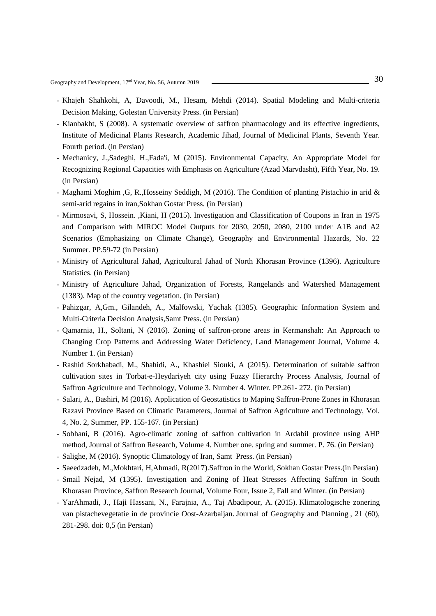30 Geography and Development, 17nd Year, No. 56, Autumn <sup>2019</sup>

- Khajeh Shahkohi, A, Davoodi, M., Hesam, Mehdi (2014). Spatial Modeling and Multi-criteria Decision Making, Golestan University Press. (in Persian)
- Kianbakht, S (2008). A systematic overview of saffron pharmacology and its effective ingredients, Institute of Medicinal Plants Research, Academic Jihad, Journal of Medicinal Plants, Seventh Year. Fourth period. (in Persian)
- Mechanicy, J.,Sadeghi, H.,Fada'i, M (2015). Environmental Capacity, An Appropriate Model for Recognizing Regional Capacities with Emphasis on Agriculture (Azad Marvdasht), Fifth Year, No. 19. (in Persian)
- Maghami Moghim ,G, R.,Hosseiny Seddigh, M (2016). The Condition of planting Pistachio in arid & semi-arid regains in iran,Sokhan Gostar Press. (in Persian)
- Mirmosavi, S, Hossein. ,Kiani, H (2015). Investigation and Classification of Coupons in Iran in 1975 and Comparison with MIROC Model Outputs for 2030, 2050, 2080, 2100 under A1B and A2 Scenarios (Emphasizing on Climate Change), Geography and Environmental Hazards, No. 22 Summer. PP.59-72 (in Persian)
- Ministry of Agricultural Jahad, Agricultural Jahad of North Khorasan Province (1396). Agriculture Statistics. (in Persian)
- Ministry of Agriculture Jahad, Organization of Forests, Rangelands and Watershed Management (1383). Map of the country vegetation. (in Persian)
- Pahizgar, A,Gm., Gilandeh, A., Malfowski, Yachak (1385). Geographic Information System and Multi-Criteria Decision Analysis,Samt Press. (in Persian)
- Qamarnia, H., Soltani, N (2016). Zoning of saffron-prone areas in Kermanshah: An Approach to Changing Crop Patterns and Addressing Water Deficiency, Land Management Journal, Volume 4. Number 1. (in Persian)
- Rashid Sorkhabadi, M., Shahidi, A., Khashiei Siouki, A (2015). Determination of suitable saffron cultivation sites in Torbat-e-Heydariyeh city using Fuzzy Hierarchy Process Analysis, Journal of Saffron Agriculture and Technology, Volume 3. Number 4. Winter. PP.261- 272. (in Persian)
- Salari, A., Bashiri, M (2016). Application of Geostatistics to Maping Saffron-Prone Zones in Khorasan Razavi Province Based on Climatic Parameters, Journal of Saffron Agriculture and Technology, Vol. 4, No. 2, Summer, PP. 155-167. (in Persian)
- Sobhani, B (2016). Agro-climatic zoning of saffron cultivation in Ardabil province using AHP method, Journal of Saffron Research, Volume 4. Number one. spring and summer. P. 76. (in Persian)
- Salighe, M (2016). Synoptic Climatology of Iran, Samt Press. (in Persian)
- Saeedzadeh, M.,Mokhtari, H,Ahmadi, R(2017).Saffron in the World, Sokhan Gostar Press.(in Persian)
- Smail Nejad, M (1395). Investigation and Zoning of Heat Stresses Affecting Saffron in South Khorasan Province, Saffron Research Journal, Volume Four, Issue 2, Fall and Winter. (in Persian)
- YarAhmadi, J., Haji Hassani, N., Farajnia, A., Taj Abadipour, A. (2015). Klimatologische zonering van pistachevegetatie in de provincie Oost-Azarbaijan. Journal of Geography and Planning , 21 (60), 281-298. doi: 0,5 (in Persian)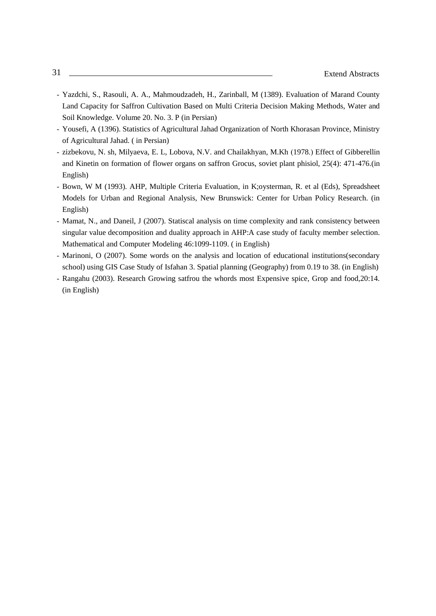- Yazdchi, S., Rasouli, A. A., Mahmoudzadeh, H., Zarinball, M (1389). Evaluation of Marand County Land Capacity for Saffron Cultivation Based on Multi Criteria Decision Making Methods, Water and Soil Knowledge. Volume 20. No. 3. P (in Persian)
- Yousefi, A (1396). Statistics of Agricultural Jahad Organization of North Khorasan Province, Ministry of Agricultural Jahad. ( in Persian)
- zizbekovu, N. sh, Milyaeva, E. L, Lobova, N.V. and Chailakhyan, M.Kh (1978.) Effect of Gibberellin and Kinetin on formation of flower organs on saffron Grocus, soviet plant phisiol, 25(4): 471-476.(in English)
- Bown, W M (1993). AHP, Multiple Criteria Evaluation, in K;oysterman, R. et al (Eds), Spreadsheet Models for Urban and Regional Analysis, New Brunswick: Center for Urban Policy Research. (in English)
- Mamat, N., and Daneil, J (2007). Statiscal analysis on time complexity and rank consistency between singular value decomposition and duality approach in AHP:A case study of faculty member selection. Mathematical and Computer Modeling 46:1099-1109. ( in English)
- Marinoni, O (2007). Some words on the analysis and location of educational institutions(secondary school) using GIS Case Study of Isfahan 3. Spatial planning (Geography) from 0.19 to 38. (in English)
- Rangahu (2003). Research Growing satfrou the whords most Expensive spice, Grop and food,20:14. (in English)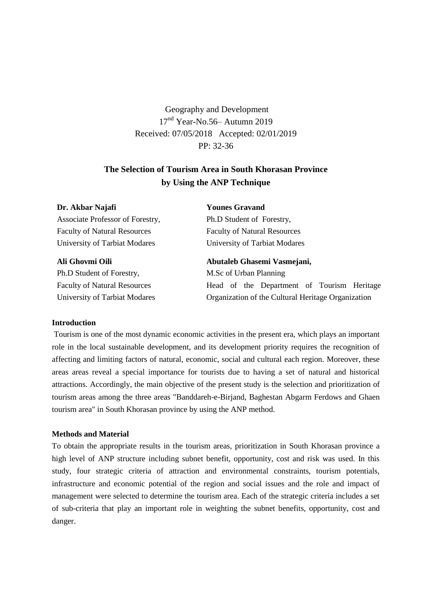Geography and Development 17nd Year-No.56– Autumn 2019 Received: 07/05/2018 Accepted: 02/01/2019 PP: 32-36

# **The Selection of Tourism Area in South Khorasan Province by Using the ANP Technique**

**Dr. Akbar Najafi** Associate Professor of Forestry, Faculty of Natural Resources University of Tarbiat Modares

### **Ali Ghovmi Oili**

Ph.D Student of Forestry, Faculty of Natural Resources University of Tarbiat Modares

# **Younes Gravand**

Ph.D Student of Forestry, Faculty of Natural Resources University of Tarbiat Modares

**Abutaleb Ghasemi Vasmejani,**  M.Sc of Urban Planning Head of the Department of Tourism Heritage Organization of the Cultural Heritage Organization

#### **Introduction**

Tourism is one of the most dynamic economic activities in the present era, which plays an important role in the local sustainable development, and its development priority requires the recognition of affecting and limiting factors of natural, economic, social and cultural each region. Moreover, these areas areas reveal a special importance for tourists due to having a set of natural and historical attractions. Accordingly, the main objective of the present study is the selection and prioritization of tourism areas among the three areas "Banddareh-e-Birjand, Baghestan Abgarm Ferdows and Ghaen tourism area" in South Khorasan province by using the ANP method.

## **Methods and Material**

To obtain the appropriate results in the tourism areas, prioritization in South Khorasan province a high level of ANP structure including subnet benefit, opportunity, cost and risk was used. In this study, four strategic criteria of attraction and environmental constraints, tourism potentials, infrastructure and economic potential of the region and social issues and the role and impact of management were selected to determine the tourism area. Each of the strategic criteria includes a set of sub-criteria that play an important role in weighting the subnet benefits, opportunity, cost and danger.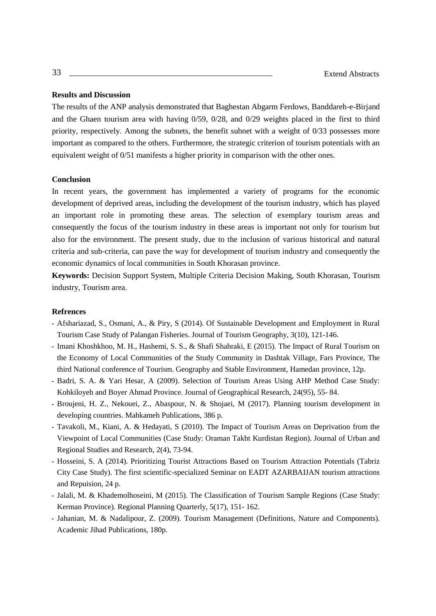#### **Results and Discussion**

The results of the ANP analysis demonstrated that Baghestan Abgarm Ferdows, Banddareh-e-Birjand and the Ghaen tourism area with having 0/59, 0/28, and 0/29 weights placed in the first to third priority, respectively. Among the subnets, the benefit subnet with a weight of 0/33 possesses more important as compared to the others. Furthermore, the strategic criterion of tourism potentials with an equivalent weight of 0/51 manifests a higher priority in comparison with the other ones.

## **Conclusion**

In recent years, the government has implemented a variety of programs for the economic development of deprived areas, including the development of the tourism industry, which has played an important role in promoting these areas. The selection of exemplary tourism areas and consequently the focus of the tourism industry in these areas is important not only for tourism but also for the environment. The present study, due to the inclusion of various historical and natural criteria and sub-criteria, can pave the way for development of tourism industry and consequently the economic dynamics of local communities in South Khorasan province.

**Keywords:** Decision Support System, Multiple Criteria Decision Making, South Khorasan, Tourism industry, Tourism area.

- Afshariazad, S., Osmani, A., & Piry, S (2014). Of Sustainable Development and Employment in Rural Tourism Case Study of Palangan Fisheries. Journal of Tourism Geography, 3(10), 121-146.
- Imani Khoshkhoo, M. H., Hashemi, S. S., & Shafi Shahraki, E (2015). The Impact of Rural Tourism on the Economy of Local Communities of the Study Community in Dashtak Village, Fars Province, The third National conference of Tourism. Geography and Stable Environment, Hamedan province, 12p.
- Badri, S. A. & Yari Hesar, A (2009). Selection of Tourism Areas Using AHP Method Case Study: Kohkiloyeh and Boyer Ahmad Province. Journal of Geographical Research, 24(95), 55- 84.
- Broujeni, H. Z., Nekouei, Z., Abaspour, N. & Shojaei, M (2017). Planning tourism development in developing countries. Mahkameh Publications, 386 p.
- Tavakoli, M., Kiani, A. & Hedayati, S (2010). The Impact of Tourism Areas on Deprivation from the Viewpoint of Local Communities (Case Study: Oraman Takht Kurdistan Region). Journal of Urban and Regional Studies and Research, 2(4), 73-94.
- Hosseini, S. A (2014). Prioritizing Tourist Attractions Based on Tourism Attraction Potentials (Tabriz City Case Study). The first scientific-specialized Seminar on EADT AZARBAIJAN tourism attractions and Repuision, 24 p.
- Jalali, M. & Khademolhoseini, M (2015). The Classification of Tourism Sample Regions (Case Study: Kerman Province). Regional Planning Quarterly, 5(17), 151- 162.
- Jahanian, M. & Nadalipour, Z. (2009). Tourism Management (Definitions, Nature and Components). Academic Jihad Publications, 180p.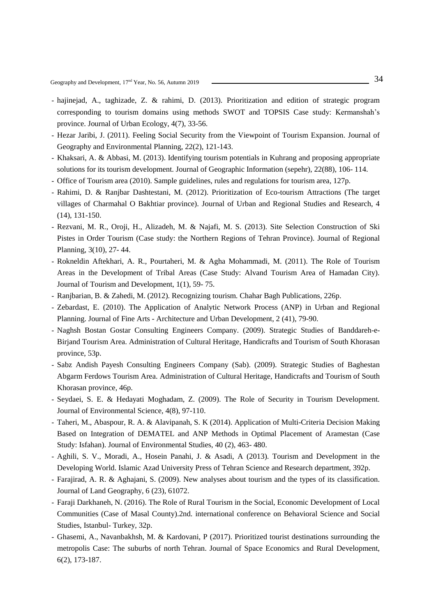Geography and Development, 17<sup>nd</sup> Year, No. 56, Autumn 2019 —————————————————————————————<sup>34</sup>

- hajinejad, A., taghizade, Z. & rahimi, D. (2013). Prioritization and edition of strategic program corresponding to tourism domains using methods SWOT and TOPSIS Case study: Kermanshah's province. Journal of Urban Ecology, 4(7), 33-56.
- Hezar Jaribi, J. (2011). Feeling Social Security from the Viewpoint of Tourism Expansion. Journal of Geography and Environmental Planning, 22(2), 121-143.
- Khaksari, A. & Abbasi, M. (2013). Identifying tourism potentials in Kuhrang and proposing appropriate solutions for its tourism development. Journal of Geographic Information (sepehr), 22(88), 106- 114.
- Office of Tourism area (2010). Sample guidelines, rules and regulations for tourism area, 127p.
- Rahimi, D. & Ranjbar Dashtestani, M. (2012). Prioritization of Eco-tourism Attractions (The target villages of Charmahal O Bakhtiar province). Journal of Urban and Regional Studies and Research, 4 (14), 131-150.
- Rezvani, M. R., Oroji, H., Alizadeh, M. & Najafi, M. S. (2013). Site Selection Construction of Ski Pistes in Order Tourism (Case study: the Northern Regions of Tehran Province). Journal of Regional Planning, 3(10), 27- 44.
- Rokneldin Aftekhari, A. R., Pourtaheri, M. & Agha Mohammadi, M. (2011). The Role of Tourism Areas in the Development of Tribal Areas (Case Study: Alvand Tourism Area of Hamadan City). Journal of Tourism and Development, 1(1), 59- 75.
- Ranjbarian, B. & Zahedi, M. (2012). Recognizing tourism. Chahar Bagh Publications, 226p.
- Zebardast, E. (2010). The Application of Analytic Network Process (ANP) in Urban and Regional Planning. Journal of Fine Arts - Architecture and Urban Development, 2 (41), 79-90.
- Naghsh Bostan Gostar Consulting Engineers Company. (2009). Strategic Studies of Banddareh-e-Birjand Tourism Area. Administration of Cultural Heritage, Handicrafts and Tourism of South Khorasan province, 53p.
- Sabz Andish Payesh Consulting Engineers Company (Sab). (2009). Strategic Studies of Baghestan Abgarm Ferdows Tourism Area. Administration of Cultural Heritage, Handicrafts and Tourism of South Khorasan province, 46p.
- Seydaei, S. E. & Hedayati Moghadam, Z. (2009). The Role of Security in Tourism Development. Journal of Environmental Science, 4(8), 97-110.
- Taheri, M., Abaspour, R. A. & Alavipanah, S. K (2014). Application of Multi-Criteria Decision Making Based on Integration of DEMATEL and ANP Methods in Optimal Placement of Aramestan (Case Study: Isfahan). Journal of Environmental Studies, 40 (2), 463- 480.
- Aghili, S. V., Moradi, A., Hosein Panahi, J. & Asadi, A (2013). Tourism and Development in the Developing World. Islamic Azad University Press of Tehran Science and Research department, 392p.
- Farajirad, A. R. & Aghajani, S. (2009). New analyses about tourism and the types of its classification. Journal of Land Geography, 6 (23), 61072.
- Faraji Darkhaneh, N. (2016). The Role of Rural Tourism in the Social, Economic Development of Local Communities (Case of Masal County).2nd. international conference on Behavioral Science and Social Studies, Istanbul- Turkey, 32p.
- Ghasemi, A., Navanbakhsh, M. & Kardovani, P (2017). Prioritized tourist destinations surrounding the metropolis Case: The suburbs of north Tehran. Journal of Space Economics and Rural Development, 6(2), 173-187.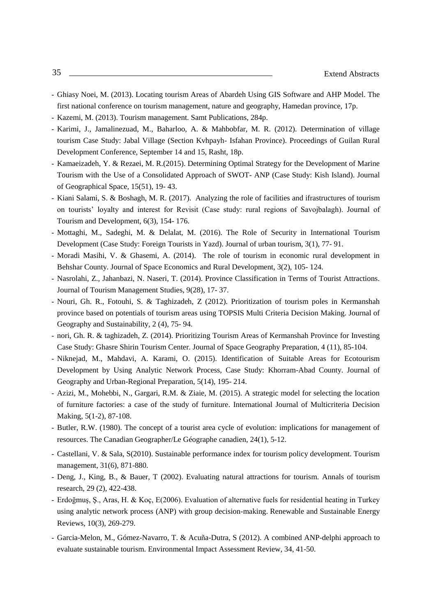- Ghiasy Noei, M. (2013). Locating tourism Areas of Abardeh Using GIS Software and AHP Model. The first national conference on tourism management, nature and geography, Hamedan province, 17p.
- Kazemi, M. (2013). Tourism management. Samt Publications, 284p.
- Karimi, J., Jamalinezuad, M., Baharloo, A. & Mahbobfar, M. R. (2012). Determination of village tourism Case Study: Jabal Village (Section Kvhpayh- Isfahan Province). Proceedings of Guilan Rural Development Conference, September 14 and 15, Rasht, 18p.
- Kamaeizadeh, Y. & Rezaei, M. R.(2015). Determining Optimal Strategy for the Development of Marine Tourism with the Use of a Consolidated Approach of SWOT- ANP (Case Study: Kish Island). Journal of Geographical Space, 15(51), 19- 43.
- Kiani Salami, S. & Boshagh, M. R. (2017). Analyzing the role of facilities and ifrastructures of tourism on tourists' loyalty and interest for Revisit (Case study: rural regions of Savojbalagh). Journal of Tourism and Development, 6(3), 154- 176.
- Mottaghi, M., Sadeghi, M. & Delalat, M. (2016). The Role of Security in International Tourism Development (Case Study: Foreign Tourists in Yazd). Journal of urban tourism, 3(1), 77- 91.
- Moradi Masihi, V. & Ghasemi, A. (2014). The role of tourism in economic rural development in Behshar County. Journal of Space Economics and Rural Development, 3(2), 105- 124.
- Nasrolahi, Z., Jahanbazi, N. Naseri, T. (2014). Province Classification in Terms of Tourist Attractions. Journal of Tourism Management Studies, 9(28), 17- 37.
- Nouri, Gh. R., Fotouhi, S. & Taghizadeh, Z (2012). Prioritization of tourism poles in Kermanshah province based on potentials of tourism areas using TOPSIS Multi Criteria Decision Making. Journal of Geography and Sustainability, 2 (4), 75- 94.
- nori, Gh. R. & taghizadeh, Z. (2014). Prioritizing Tourism Areas of Kermanshah Province for Investing Case Study: Ghasre Shirin Tourism Center. Journal of Space Geography Preparation, 4 (11), 85-104.
- Niknejad, M., Mahdavi, A. Karami, O. (2015). Identification of Suitable Areas for Ecotourism Development by Using Analytic Network Process, Case Study: Khorram-Abad County. Journal of Geography and Urban-Regional Preparation, 5(14), 195- 214.
- Azizi, M., Mohebbi, N., Gargari, R.M. & Ziaie, M. (2015). A strategic model for selecting the location of furniture factories: a case of the study of furniture. International Journal of Multicriteria Decision Making, 5(1-2), 87-108.
- Butler, R.W. (1980). The concept of a tourist area cycle of evolution: implications for management of resources. The Canadian Geographer/Le Géographe canadien, 24(1), 5-12.
- Castellani, V. & Sala, S(2010). Sustainable performance index for tourism policy development. Tourism management, 31(6), 871-880.
- Deng, J., King, B., & Bauer, T (2002). Evaluating natural attractions for tourism. Annals of tourism research, 29 (2), 422-438.
- Erdoğmuş, Ş., Aras, H. & Koç, E(2006). Evaluation of alternative fuels for residential heating in Turkey using analytic network process (ANP) with group decision-making. Renewable and Sustainable Energy Reviews, 10(3), 269-279.
- Garcia-Melon, M., Gómez-Navarro, T. & Acuña-Dutra, S (2012). A combined ANP-delphi approach to evaluate sustainable tourism. Environmental Impact Assessment Review, 34, 41-50.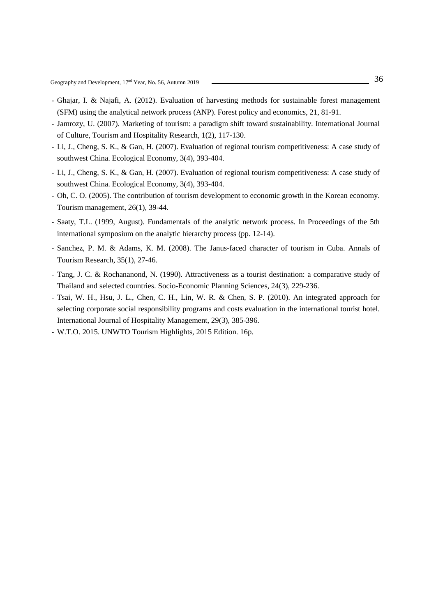- Ghajar, I. & Najafi, A. (2012). Evaluation of harvesting methods for sustainable forest management (SFM) using the analytical network process (ANP). Forest policy and economics, 21, 81-91.
- Jamrozy, U. (2007). Marketing of tourism: a paradigm shift toward sustainability. International Journal of Culture, Tourism and Hospitality Research, 1(2), 117-130.
- Li, J., Cheng, S. K., & Gan, H. (2007). Evaluation of regional tourism competitiveness: A case study of southwest China. Ecological Economy, 3(4), 393-404.
- Li, J., Cheng, S. K., & Gan, H. (2007). Evaluation of regional tourism competitiveness: A case study of southwest China. Ecological Economy, 3(4), 393-404.
- Oh, C. O. (2005). The contribution of tourism development to economic growth in the Korean economy. Tourism management, 26(1), 39-44.
- Saaty, T.L. (1999, August). Fundamentals of the analytic network process. In Proceedings of the 5th international symposium on the analytic hierarchy process (pp. 12-14).
- Sanchez, P. M. & Adams, K. M. (2008). The Janus-faced character of tourism in Cuba. Annals of Tourism Research, 35(1), 27-46.
- Tang, J. C. & Rochananond, N. (1990). Attractiveness as a tourist destination: a comparative study of Thailand and selected countries. Socio-Economic Planning Sciences, 24(3), 229-236.
- Tsai, W. H., Hsu, J. L., Chen, C. H., Lin, W. R. & Chen, S. P. (2010). An integrated approach for selecting corporate social responsibility programs and costs evaluation in the international tourist hotel. International Journal of Hospitality Management, 29(3), 385-396.
- W.T.O. 2015. UNWTO Tourism Highlights, 2015 Edition. 16p.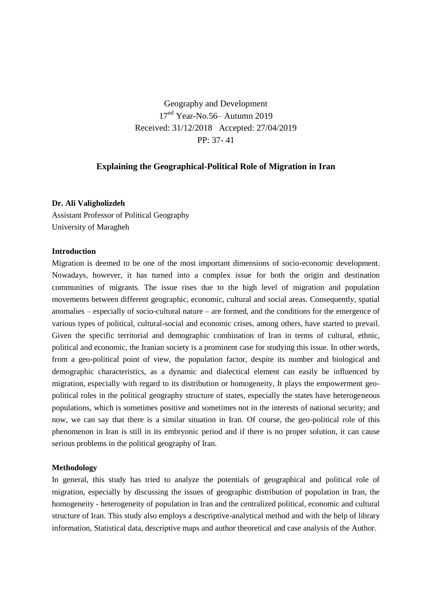Geography and Development 17<sup>nd</sup> Year-No.56– Autumn 2019 Received: 31/12/2018 Accepted: 27/04/2019 PP: 37- 41

# **Explaining the Geographical-Political Role of Migration in Iran**

### **Dr. Ali Valigholizdeh**

Assistant Professor of Political Geography University of Maragheh

### **Introduction**

Migration is deemed to be one of the most important dimensions of socio-economic development. Nowadays, however, it has turned into a complex issue for both the origin and destination communities of migrants. The issue rises due to the high level of migration and population movements between different geographic, economic, cultural and social areas. Consequently, spatial anomalies – especially of socio-cultural nature – are formed, and the conditions for the emergence of various types of political, cultural-social and economic crises, among others, have started to prevail. Given the specific territorial and demographic combination of Iran in terms of cultural, ethnic, political and economic, the Iranian society is a prominent case for studying this issue. In other words, from a geo-political point of view, the population factor, despite its number and biological and demographic characteristics, as a dynamic and dialectical element can easily be influenced by migration, especially with regard to its distribution or homogeneity, It plays the empowerment geopolitical roles in the political geography structure of states, especially the states have heterogeneous populations, which is sometimes positive and sometimes not in the interests of national security; and now, we can say that there is a similar situation in Iran. Of course, the geo-political role of this phenomenon in Iran is still in its embryonic period and if there is no proper solution, it can cause serious problems in the political geography of Iran.

#### **Methodology**

In general, this study has tried to analyze the potentials of geographical and political role of migration, especially by discussing the issues of geographic distribution of population in Iran, the homogeneity - heterogeneity of population in Iran and the centralized political, economic and cultural structure of Iran. This study also employs a descriptive-analytical method and with the help of library information, Statistical data, descriptive maps and author theoretical and case analysis of the Author.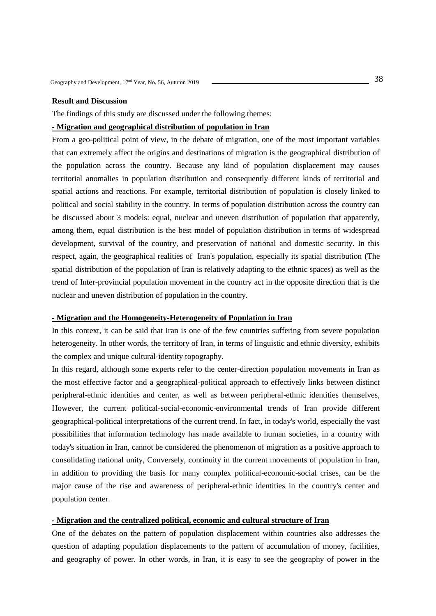## **Result and Discussion**

The findings of this study are discussed under the following themes:

#### **- Migration and geographical distribution of population in Iran**

From a geo-political point of view, in the debate of migration, one of the most important variables that can extremely affect the origins and destinations of migration is the geographical distribution of the population across the country. Because any kind of population displacement may causes territorial anomalies in population distribution and consequently different kinds of territorial and spatial actions and reactions. For example, territorial distribution of population is closely linked to political and social stability in the country. In terms of population distribution across the country can be discussed about 3 models: equal, nuclear and uneven distribution of population that apparently, among them, equal distribution is the best model of population distribution in terms of widespread development, survival of the country, and preservation of national and domestic security. In this respect, again, the geographical realities of Iran's population, especially its spatial distribution (The spatial distribution of the population of Iran is relatively adapting to the ethnic spaces) as well as the trend of Inter-provincial population movement in the country act in the opposite direction that is the nuclear and uneven distribution of population in the country.

### **- Migration and the Homogeneity-Heterogeneity of Population in Iran**

In this context, it can be said that Iran is one of the few countries suffering from severe population heterogeneity. In other words, the territory of Iran, in terms of linguistic and ethnic diversity, exhibits the complex and unique cultural-identity topography.

In this regard, although some experts refer to the center-direction population movements in Iran as the most effective factor and a geographical-political approach to effectively links between distinct peripheral-ethnic identities and center, as well as between peripheral-ethnic identities themselves, However, the current political-social-economic-environmental trends of Iran provide different geographical-political interpretations of the current trend. In fact, in today's world, especially the vast possibilities that information technology has made available to human societies, in a country with today's situation in Iran, cannot be considered the phenomenon of migration as a positive approach to consolidating national unity, Conversely, continuity in the current movements of population in Iran, in addition to providing the basis for many complex political-economic-social crises, can be the major cause of the rise and awareness of peripheral-ethnic identities in the country's center and population center.

#### **- Migration and the centralized political, economic and cultural structure of Iran**

One of the debates on the pattern of population displacement within countries also addresses the question of adapting population displacements to the pattern of accumulation of money, facilities, and geography of power. In other words, in Iran, it is easy to see the geography of power in the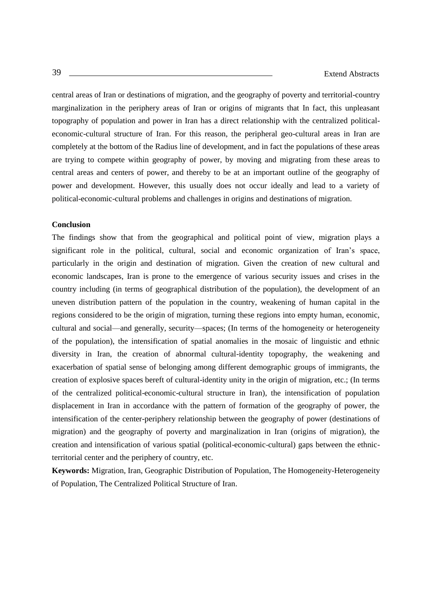central areas of Iran or destinations of migration, and the geography of poverty and territorial-country marginalization in the periphery areas of Iran or origins of migrants that In fact, this unpleasant topography of population and power in Iran has a direct relationship with the centralized politicaleconomic-cultural structure of Iran. For this reason, the peripheral geo-cultural areas in Iran are completely at the bottom of the Radius line of development, and in fact the populations of these areas are trying to compete within geography of power, by moving and migrating from these areas to central areas and centers of power, and thereby to be at an important outline of the geography of power and development. However, this usually does not occur ideally and lead to a variety of political-economic-cultural problems and challenges in origins and destinations of migration.

## **Conclusion**

The findings show that from the geographical and political point of view, migration plays a significant role in the political, cultural, social and economic organization of Iran's space, particularly in the origin and destination of migration. Given the creation of new cultural and economic landscapes, Iran is prone to the emergence of various security issues and crises in the country including (in terms of geographical distribution of the population), the development of an uneven distribution pattern of the population in the country, weakening of human capital in the regions considered to be the origin of migration, turning these regions into empty human, economic, cultural and social—and generally, security—spaces; (In terms of the homogeneity or heterogeneity of the population), the intensification of spatial anomalies in the mosaic of linguistic and ethnic diversity in Iran, the creation of abnormal cultural-identity topography, the weakening and exacerbation of spatial sense of belonging among different demographic groups of immigrants, the creation of explosive spaces bereft of cultural-identity unity in the origin of migration, etc.; (In terms of the centralized political-economic-cultural structure in Iran), the intensification of population displacement in Iran in accordance with the pattern of formation of the geography of power, the intensification of the center-periphery relationship between the geography of power (destinations of migration) and the geography of poverty and marginalization in Iran (origins of migration), the creation and intensification of various spatial (political-economic-cultural) gaps between the ethnicterritorial center and the periphery of country, etc.

**Keywords:** Migration, Iran, Geographic Distribution of Population, The Homogeneity-Heterogeneity of Population, The Centralized Political Structure of Iran.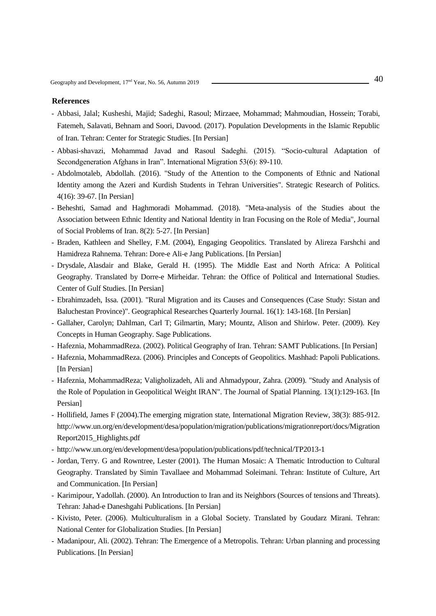- Abbasi, Jalal; Kusheshi, Majid; Sadeghi, Rasoul; Mirzaee, Mohammad; Mahmoudian, Hossein; Torabi, Fatemeh, Salavati, Behnam and Soori, Davood. (2017). Population Developments in the Islamic Republic of Iran. Tehran: Center for Strategic Studies. [In Persian]
- Abbasi-shavazi, Mohammad Javad and Rasoul Sadeghi. (2015). "Socio-cultural Adaptation of Secondgeneration Afghans in Iran". International Migration 53(6): 89-110.
- [Abdolmotaleb, Abdollah.](http://qpss.atu.ac.ir/?_action=article&au=13220&_au=Abdolmotaleb++Abdollah) (2016). "Study of the Attention to the Components of Ethnic and National Identity among the Azeri and Kurdish Students in Tehran Universities". Strategic Research of Politics. 4(16): 39-67. [In Persian]
- Beheshti, Samad and Haghmoradi Mohammad. (2018). "Meta-analysis of the Studies about the Association between Ethnic Identity and National Identity in Iran Focusing on the Role of Media", Journal of Social Problems of Iran. 8(2): 5-27. [In Persian]
- Braden, [Kathleen a](https://www.amazon.com/Kathleen-Braden/e/B00IV5U1TG/ref=dp_byline_cont_book_1)nd Shelley, [F.M. \(](https://www.amazon.com/s/ref=dp_byline_sr_book_2?ie=UTF8&field-author=F.M.+Shelley&text=F.M.+Shelley&sort=relevancerank&search-alias=books)2004), Engaging Geopolitics. Translated by Alireza Farshchi and Hamidreza Rahnema. Tehran: Dore-e Ali-e Jang Publications. [In Persian]
- Drysdale, Alasdair and Blake, Gerald H. (1995). The Middle East and North Africa: A Political Geography. Translated by Dorre-e Mirheidar. Tehran: the Office of Political and International Studies. Center of Gulf Studies. [In Persian]
- Ebrahimzadeh, Issa. (2001). "Rural Migration and its Causes and Consequences (Case Study: Sistan and Baluchestan Province)". Geographical Researches Quarterly Journal. 16(1): 143-168. [In Persian]
- Gallaher, Carolyn; Dahlman, Carl T; Gilmartin, Mary; Mountz, Alison and Shirlow. Peter. (2009). Key Concepts in Human Geography. Sage Publications.
- Hafeznia, MohammadReza. (2002). Political Geography of Iran. Tehran: SAMT Publications. [In Persian]
- Hafeznia, MohammadReza. (2006). Principles and Concepts of Geopolitics. Mashhad: Papoli Publications. [In Persian]
- Hafeznia, MohammadReza; Valigholizadeh, Ali and Ahmadypour, Zahra. (2009). "Study and Analysis of the Role of Population in Geopolitical Weight IRAN". [The Journal of Spatial Planning.](http://journals.modares.ac.ir/index.php?sid=21&slc_lang=en) 13(1):129-163. [In Persian]
- Hollifield, James F (2004).The emerging migration state, International Migration Review, 38(3): 885-912. [http://www.un.org/en/development/desa/population/migration/publications/migrationreport/docs/Migration](http://www.un.org/en/development/desa/population/migration/publications/migrationreport/docs/MigrationReport2015_Highlights.pdf) [Report2015\\_Highlights.pdf](http://www.un.org/en/development/desa/population/migration/publications/migrationreport/docs/MigrationReport2015_Highlights.pdf)
- <http://www.un.org/en/development/desa/population/publications/pdf/technical/TP2013-1>
- Jordan, Terry. G and Rowntree, Lester (2001). The Human Mosaic: A Thematic Introduction to Cultural Geography. Translated by Simin Tavallaee and Mohammad Soleimani. Tehran: Institute of Culture, Art and Communication. [In Persian]
- Karimipour, Yadollah. (2000). An Introduction to Iran and its Neighbors (Sources of tensions and Threats). Tehran: Jahad-e Daneshgahi Publications. [In Persian]
- Kivisto, Peter. (2006). Multiculturalism in a Global Society. Translated by Goudarz Mirani. Tehran: National Center for Globalization Studies. [In Persian]
- Madanipour, Ali. (2002). Tehran: The Emergence of a Metropolis. Tehran: Urban planning and processing Publications. [In Persian]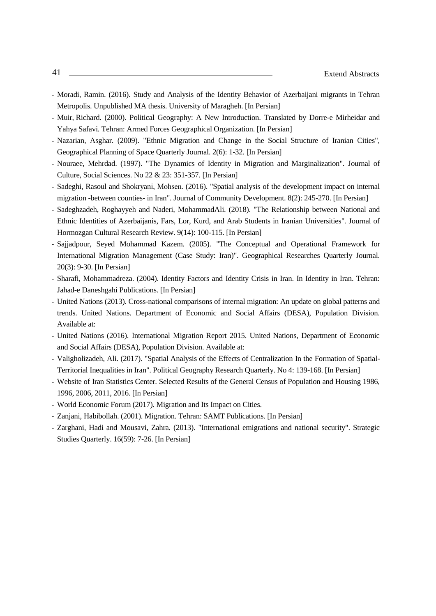- Moradi, Ramin. (2016). Study and Analysis of the Identity Behavior of Azerbaijani migrants in Tehran Metropolis. Unpublished MA thesis. University of Maragheh. [In Persian]
- Muir, Richard. (2000). Political Geography: A New Introduction. Translated by Dorre-e Mirheidar and Yahya Safavi. Tehran: Armed Forces Geographical Organization. [In Persian]
- Nazarian, Asghar. (2009). "Ethnic Migration and Change in the Social Structure of Iranian Cities", Geographical Planning of Space Quarterly Journal. 2(6): 1-32. [In Persian]
- Nouraee, Mehrdad. (1997). "The Dynamics of Identity in Migration and Marginalization". Journal of Culture, Social Sciences. No 22 & 23: 351-357. [In Persian]
- Sadeghi, Rasoul and Shokryani, Mohsen. (2016). "Spatial analysis of the development impact on internal migration -between counties- in Iran". Journal of Community Development. 8(2): 245-270. [In Persian]
- Sadeghzadeh, Roghayyeh and Naderi, MohammadAli. (2018). "The Relationship between National and Ethnic Identities of Azerbaijanis, Fars, Lor, Kurd, and Arab Students in Iranian Universities". Journal of Hormozgan Cultural Research Review. 9(14): 100-115. [In Persian]
- Sajjadpour, Seyed Mohammad Kazem. (2005). "The Conceptual and Operational Framework for International Migration Management (Case Study: Iran)". Geographical Researches Quarterly Journal. 20(3): 9-30. [In Persian]
- Sharafi, Mohammadreza. (2004). Identity Factors and Identity Crisis in Iran. In Identity in Iran. Tehran: Jahad-e Daneshgahi Publications. [In Persian]
- United Nations (2013). Cross-national comparisons of internal migration: An update on global patterns and trends. United Nations. Department of Economic and Social Affairs (DESA), Population Division. Available at:
- United Nations (2016). International Migration Report 2015. United Nations, Department of Economic and Social Affairs (DESA), Population Division. Available at:
- Valigholizadeh, Ali. (2017). "Spatial Analysis of the Effects of Centralization In the Formation of Spatial-Territorial Inequalities in Iran". Political Geography Research Quarterly. No 4: 139-168. [In Persian]
- Website of Iran Statistics Center. Selected Results of the General Census of Population and Housing 1986, 1996, 2006, 2011, 2016. [In Persian]
- World Economic Forum (2017). Migration and Its Impact on Cities.
- Zanjani, Habibollah. (2001). Migration. Tehran: SAMT Publications. [In Persian]
- Zarghani, [Hadi a](http://quarterly.risstudies.org/?_action=article&au=19353&_au=Hadi++Zarghani)nd Mousavi, Zahra. (2013). "International emigrations and national security". Strategic Studies Quarterly. 16(59): 7-26. [In Persian]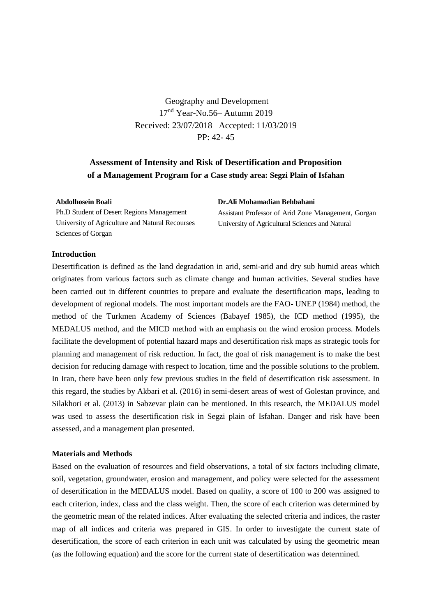Geography and Development  $17<sup>nd</sup> Year-No.56–Autumn 2019$ Received: 23/07/2018 Accepted: 11/03/2019 PP: 42- 45

# **Assessment of Intensity and Risk of Desertification and Proposition of a Management Program for a Case study area: Segzi Plain of Isfahan**

#### **Abdolhosein Boali**

Ph.D Student of Desert Regions Management University of Agriculture and Natural Recourses Sciences of Gorgan

**Dr.Ali Mohamadian [Behbahani](mailto:behbahani1383@yahoo.com)**

Assistant Professor of Arid Zone Management, Gorgan University of Agricultural Sciences and Natural

# **Introduction**

Desertification is defined as the land degradation in arid, semi-arid and dry sub humid areas which originates from various factors such as climate change and human activities. Several studies have been carried out in different countries to prepare and evaluate the desertification maps, leading to development of regional models. The most important models are the FAO- UNEP (1984) method, the method of the Turkmen Academy of Sciences (Babayef 1985), the ICD method (1995), the MEDALUS method, and the MICD method with an emphasis on the wind erosion process. Models facilitate the development of potential hazard maps and desertification risk maps as strategic tools for planning and management of risk reduction. In fact, the goal of risk management is to make the best decision for reducing damage with respect to location, time and the possible solutions to the problem. In Iran, there have been only few previous studies in the field of desertification risk assessment. In this regard, the studies by Akbari et al. (2016) in semi-desert areas of west of Golestan province, and Silakhori et al. (2013) in Sabzevar plain can be mentioned. In this research, the MEDALUS model was used to assess the desertification risk in Segzi plain of Isfahan. Danger and risk have been assessed, and a management plan presented.

# **Materials and Methods**

Based on the evaluation of resources and field observations, a total of six factors including climate, soil, vegetation, groundwater, erosion and management, and policy were selected for the assessment of desertification in the MEDALUS model. Based on quality, a score of 100 to 200 was assigned to each criterion, index, class and the class weight. Then, the score of each criterion was determined by the geometric mean of the related indices. After evaluating the selected criteria and indices, the raster map of all indices and criteria was prepared in GIS. In order to investigate the current state of desertification, the score of each criterion in each unit was calculated by using the geometric mean (as the following equation) and the score for the current state of desertification was determined.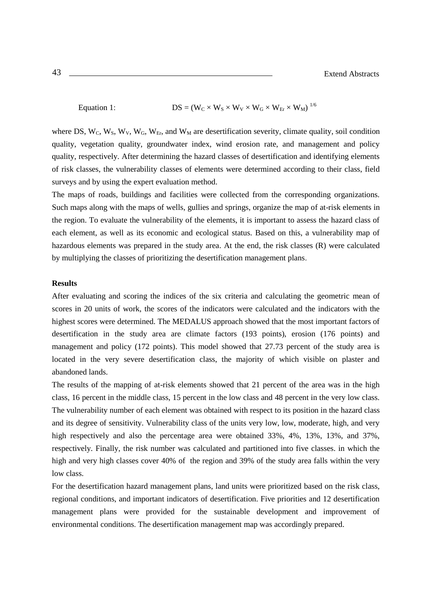Equation 1: 
$$
DS = (W_C \times W_S \times W_V \times W_G \times W_{Er} \times W_M)^{1/6}
$$

where DS,  $W_C$ ,  $W_S$ ,  $W_V$ ,  $W_G$ ,  $W_{Er}$ , and  $W_M$  are desertification severity, climate quality, soil condition quality, vegetation quality, groundwater index, wind erosion rate, and management and policy quality, respectively. After determining the hazard classes of desertification and identifying elements of risk classes, the vulnerability classes of elements were determined according to their class, field surveys and by using the expert evaluation method.

The maps of roads, buildings and facilities were collected from the corresponding organizations. Such maps along with the maps of wells, gullies and springs, organize the map of at-risk elements in the region. To evaluate the vulnerability of the elements, it is important to assess the hazard class of each element, as well as its economic and ecological status. Based on this, a vulnerability map of hazardous elements was prepared in the study area. At the end, the risk classes (R) were calculated by multiplying the classes of prioritizing the desertification management plans.

## **Results**

After evaluating and scoring the indices of the six criteria and calculating the geometric mean of scores in 20 units of work, the scores of the indicators were calculated and the indicators with the highest scores were determined. The MEDALUS approach showed that the most important factors of desertification in the study area are climate factors (193 points), erosion (176 points) and management and policy (172 points). This model showed that 27.73 percent of the study area is located in the very severe desertification class, the majority of which visible on plaster and abandoned lands.

The results of the mapping of at-risk elements showed that 21 percent of the area was in the high class, 16 percent in the middle class, 15 percent in the low class and 48 percent in the very low class. The vulnerability number of each element was obtained with respect to its position in the hazard class and its degree of sensitivity. Vulnerability class of the units very low, low, moderate, high, and very high respectively and also the percentage area were obtained 33%, 4%, 13%, 13%, and 37%, respectively. Finally, the risk number was calculated and partitioned into five classes. in which the high and very high classes cover 40% of the region and 39% of the study area falls within the very low class.

For the desertification hazard management plans, land units were prioritized based on the risk class, regional conditions, and important indicators of desertification. Five priorities and 12 desertification management plans were provided for the sustainable development and improvement of environmental conditions. The desertification management map was accordingly prepared.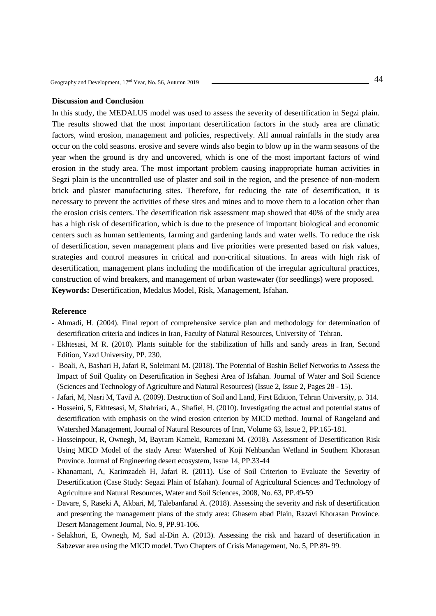#### **Discussion and Conclusion**

In this study, the MEDALUS model was used to assess the severity of desertification in Segzi plain. The results showed that the most important desertification factors in the study area are climatic factors, wind erosion, management and policies, respectively. All annual rainfalls in the study area occur on the cold seasons. erosive and severe winds also begin to blow up in the warm seasons of the year when the ground is dry and uncovered, which is one of the most important factors of wind erosion in the study area. The most important problem causing inappropriate human activities in Segzi plain is the uncontrolled use of plaster and soil in the region, and the presence of non-modern brick and plaster manufacturing sites. Therefore, for reducing the rate of desertification, it is necessary to prevent the activities of these sites and mines and to move them to a location other than the erosion crisis centers. The desertification risk assessment map showed that 40% of the study area has a high risk of desertification, which is due to the presence of important biological and economic centers such as human settlements, farming and gardening lands and water wells. To reduce the risk of desertification, seven management plans and five priorities were presented based on risk values, strategies and control measures in critical and non-critical situations. In areas with high risk of desertification, management plans including the modification of the irregular agricultural practices, construction of wind breakers, and management of urban wastewater (for seedlings) were proposed. **Keywords:** Desertification, Medalus Model, Risk, Management, Isfahan.

- Ahmadi, H. (2004). Final report of comprehensive service plan and methodology for determination of desertification criteria and indices in Iran, Faculty of Natural Resources, University of Tehran.
- Ekhtesasi, M R. (2010). Plants suitable for the stabilization of hills and sandy areas in Iran, Second Edition, Yazd University, PP. 230.
- Boali, A, Bashari H, Jafari R, Soleimani M. (2018). The Potential of Bashin Belief Networks to Assess the Impact of Soil Quality on Desertification in Seghesi Area of Isfahan. Journal of Water and Soil Science (Sciences and Technology of Agriculture and Natural Resources) (Issue 2, Issue 2, Pages 28 - 15).
- Jafari, M, Nasri M, Tavil A. (2009). Destruction of Soil and Land, First Edition, Tehran University, p. 314.
- Hosseini, S, Ekhtesasi, M, Shahriari, A., Shafiei, H. (2010). Investigating the actual and potential status of desertification with emphasis on the wind erosion criterion by MICD method. Journal of Rangeland and Watershed Management, Journal of Natural Resources of Iran, Volume 63, Issue 2, PP.165-181.
- Hosseinpour, R, Ownegh, M, Bayram Kameki, Ramezani M. (2018). Assessment of Desertification Risk Using MICD Model of the stady Area: Watershed of Koji Nehbandan Wetland in Southern Khorasan Province. Journal of Engineering desert ecosystem, Issue 14, PP.33-44
- Khanamani, A, Karimzadeh H, Jafari R. (2011). Use of Soil Criterion to Evaluate the Severity of Desertification (Case Study: Segazi Plain of Isfahan). Journal of Agricultural Sciences and Technology of Agriculture and Natural Resources, Water and Soil Sciences, 2008, No. 63, PP.49-59
- Davare, S, Raseki A, Akbari, M, Talebanfarad A. (2018). Assessing the severity and risk of desertification and presenting the management plans of the study area: Ghasem abad Plain, Razavi Khorasan Province. Desert Management Journal, No. 9, PP.91-106.
- Selakhori, E, Ownegh, M, Sad al-Din A. (2013). Assessing the risk and hazard of desertification in Sabzevar area using the MICD model. Two Chapters of Crisis Management, No. 5, PP.89- 99.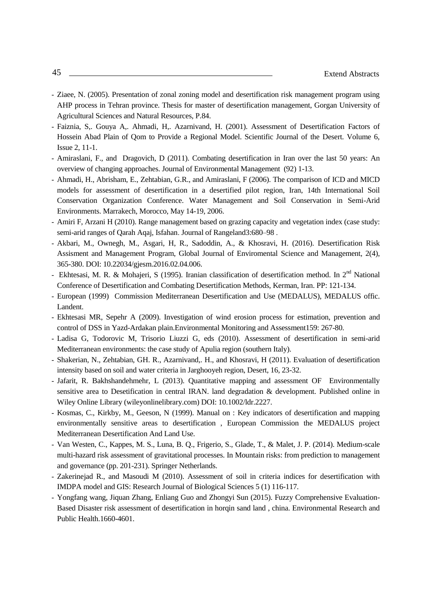- Ziaee, N. (2005). Presentation of zonal zoning model and desertification risk management program using AHP process in Tehran province. Thesis for master of desertification management, Gorgan University of Agricultural Sciences and Natural Resources, P.84.
- Faiznia, S,. Gouya A,. Ahmadi, H,. Azarnivand, H. (2001). Assessment of Desertification Factors of Hossein Abad Plain of Qom to Provide a Regional Model. Scientific Journal of the Desert. Volume 6, Issue 2, 11-1.
- Amiraslani, F., and Dragovich, D (2011). Combating desertification in Iran over the last 50 years: An overview of changing approaches. Journal of Environmental Management (92) 1-13.
- Ahmadi, H., Abrisham, E., Zehtabian, G.R., and Amiraslani, F (2006). The comparison of ICD and MICD models for assessment of desertification in a desertified pilot region, Iran, 14th International Soil Conservation Organization Conference. Water Management and Soil Conservation in Semi-Arid Environments. Marrakech, Morocco, May 14-19, 2006.
- Amiri F, Arzani H (2010). Range management based on grazing capacity and vegetation index (case study: semi-arid ranges of Qarah Aqaj, Isfahan. Journal of Rangeland3:680–98 .
- Akbari, M., Ownegh, M., Asgari, H, R., Sadoddin, A., & Khosravi, H. (2016). Desertification Risk Assisment and Management Program, Global Journal of Enviromental Science and Management, 2(4), 365-380. DOI: 10.22034/gjesm.2016.02.04.006.
- Ekhtesasi, M. R. & Mohajeri, S (1995). Iranian classification of desertification method. In  $2<sup>nd</sup>$  National Conference of Desertification and Combating Desertification Methods, Kerman, Iran. PP: 121-134.
- European (1999) Commission Mediterranean Desertification and Use (MEDALUS), MEDALUS offic. Landent.
- Ekhtesasi MR, Sepehr A (2009). Investigation of wind erosion process for estimation, prevention and control of DSS in Yazd-Ardakan plain.Environmental Monitoring and Assessment159: 267-80.
- Ladisa G, Todorovic M, Trisorio Liuzzi G, eds (2010). Assessment of desertification in semi-arid Mediterranean environments: the case study of Apulia region (southern Italy).
- Shakerian, N., Zehtabian, GH. R., Azarnivand,. H., and Khosravi, H (2011). Evaluation of desertification intensity based on soil and water criteria in Jarghooyeh region, Desert, 16, 23-32.
- Jafarit, R. Bakhshandehmehr, L (2013). Quantitative mapping and assessment OF Environmentally sensitive area to Desetification in central IRAN. land degradation & development. Published online in Wiley Online Library (wileyonlinelibrary.com) DOI: 10.1002/ldr.2227.
- Kosmas, C., Kirkby, M., Geeson, N (1999). Manual on : Key indicators of desertification and mapping environmentally sensitive areas to desertification , European Commission the MEDALUS project Mediterranean Desertification And Land Use.
- Van Westen, C., Kappes, M. S., Luna, B. Q., Frigerio, S., Glade, T., & Malet, J. P. (2014). Medium-scale multi-hazard risk assessment of gravitational processes. In Mountain risks: from prediction to management and governance (pp. 201-231). Springer Netherlands.
- Zakerinejad R., and Masoudi M (2010). Assessment of soil in criteria indices for desertification with IMDPA model and GIS: Research Journal of Biological Sciences 5 (1) 116-117.
- Yongfang wang, Jiquan Zhang, Enliang Guo and Zhongyi Sun (2015). Fuzzy Comprehensive Evaluation-Based Disaster risk assessment of desertification in horqin sand land , china. Environmental Research and Public Health.1660-4601.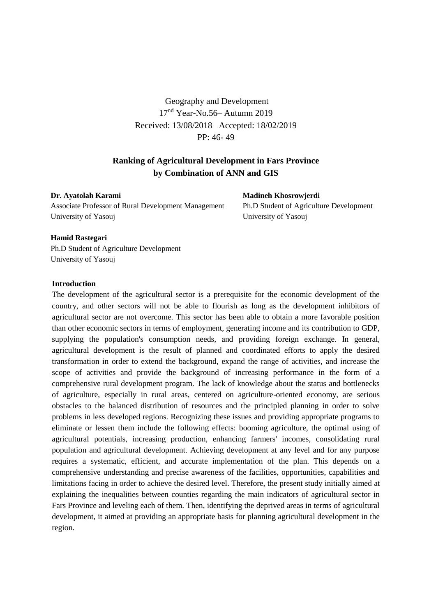Geography and Development 17nd Year-No.56– Autumn 2019 Received: 13/08/2018 Accepted: 18/02/2019 PP: 46- 49

# **Ranking of Agricultural Development in Fars Province by Combination of ANN and GIS**

**Dr. Ayatolah Karami**  Associate Professor of Rural Development Management University of Yasouj

**Madineh Khosrowjerdi** 

Ph.D Student of Agriculture Development University of Yasouj

## **Hamid Rastegari**

Ph.D Student of Agriculture Development University of Yasouj

## **Introduction**

The development of the agricultural sector is a prerequisite for the economic development of the country, and other sectors will not be able to flourish as long as the development inhibitors of agricultural sector are not overcome. This sector has been able to obtain a more favorable position than other economic sectors in terms of employment, generating income and its contribution to GDP, supplying the population's consumption needs, and providing foreign exchange. In general, agricultural development is the result of planned and coordinated efforts to apply the desired transformation in order to extend the background, expand the range of activities, and increase the scope of activities and provide the background of increasing performance in the form of a comprehensive rural development program. The lack of knowledge about the status and bottlenecks of agriculture, especially in rural areas, centered on agriculture-oriented economy, are serious obstacles to the balanced distribution of resources and the principled planning in order to solve problems in less developed regions. Recognizing these issues and providing appropriate programs to eliminate or lessen them include the following effects: booming agriculture, the optimal using of agricultural potentials, increasing production, enhancing farmers' incomes, consolidating rural population and agricultural development. Achieving development at any level and for any purpose requires a systematic, efficient, and accurate implementation of the plan. This depends on a comprehensive understanding and precise awareness of the facilities, opportunities, capabilities and limitations facing in order to achieve the desired level. Therefore, the present study initially aimed at explaining the inequalities between counties regarding the main indicators of agricultural sector in Fars Province and leveling each of them. Then, identifying the deprived areas in terms of agricultural development, it aimed at providing an appropriate basis for planning agricultural development in the region.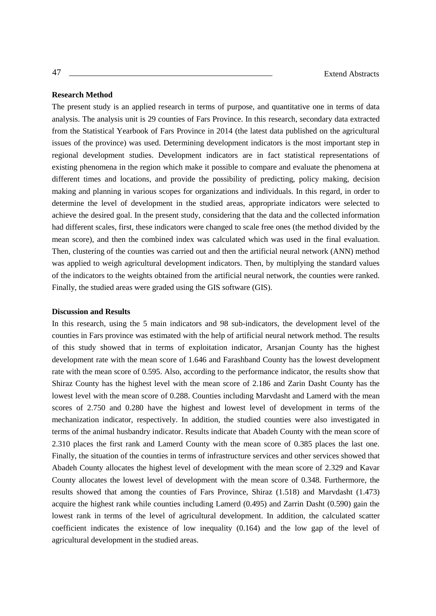## **Research Method**

The present study is an applied research in terms of purpose, and quantitative one in terms of data analysis. The analysis unit is 29 counties of Fars Province. In this research, secondary data extracted from the Statistical Yearbook of Fars Province in 2014 (the latest data published on the agricultural issues of the province) was used. Determining development indicators is the most important step in regional development studies. Development indicators are in fact statistical representations of existing phenomena in the region which make it possible to compare and evaluate the phenomena at different times and locations, and provide the possibility of predicting, policy making, decision making and planning in various scopes for organizations and individuals. In this regard, in order to determine the level of development in the studied areas, appropriate indicators were selected to achieve the desired goal. In the present study, considering that the data and the collected information had different scales, first, these indicators were changed to scale free ones (the method divided by the mean score), and then the combined index was calculated which was used in the final evaluation. Then, clustering of the counties was carried out and then the artificial neural network (ANN) method was applied to weigh agricultural development indicators. Then, by multiplying the standard values of the indicators to the weights obtained from the artificial neural network, the counties were ranked. Finally, the studied areas were graded using the GIS software (GIS).

#### **Discussion and Results**

In this research, using the 5 main indicators and 98 sub-indicators, the development level of the counties in Fars province was estimated with the help of artificial neural network method. The results of this study showed that in terms of exploitation indicator, Arsanjan County has the highest development rate with the mean score of 1.646 and Farashband County has the lowest development rate with the mean score of 0.595. Also, according to the performance indicator, the results show that Shiraz County has the highest level with the mean score of 2.186 and Zarin Dasht County has the lowest level with the mean score of 0.288. Counties including Marvdasht and Lamerd with the mean scores of 2.750 and 0.280 have the highest and lowest level of development in terms of the mechanization indicator, respectively. In addition, the studied counties were also investigated in terms of the animal husbandry indicator. Results indicate that Abadeh County with the mean score of 2.310 places the first rank and Lamerd County with the mean score of 0.385 places the last one. Finally, the situation of the counties in terms of infrastructure services and other services showed that Abadeh County allocates the highest level of development with the mean score of 2.329 and Kavar County allocates the lowest level of development with the mean score of 0.348. Furthermore, the results showed that among the counties of Fars Province, Shiraz (1.518) and Marvdasht (1.473) acquire the highest rank while counties including Lamerd (0.495) and Zarrin Dasht (0.590) gain the lowest rank in terms of the level of agricultural development. In addition, the calculated scatter coefficient indicates the existence of low inequality (0.164) and the low gap of the level of agricultural development in the studied areas.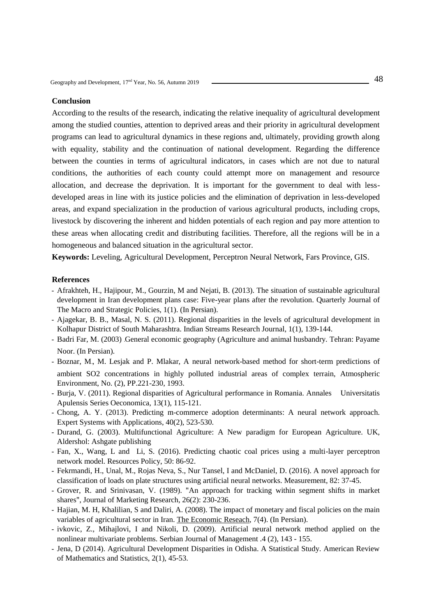## **Conclusion**

According to the results of the research, indicating the relative inequality of agricultural development among the studied counties, attention to deprived areas and their priority in agricultural development programs can lead to agricultural dynamics in these regions and, ultimately, providing growth along with equality, stability and the continuation of national development. Regarding the difference between the counties in terms of agricultural indicators, in cases which are not due to natural conditions, the authorities of each county could attempt more on management and resource allocation, and decrease the deprivation. It is important for the government to deal with lessdeveloped areas in line with its justice policies and the elimination of deprivation in less-developed areas, and expand specialization in the production of various agricultural products, including crops, livestock by discovering the inherent and hidden potentials of each region and pay more attention to these areas when allocating credit and distributing facilities. Therefore, all the regions will be in a homogeneous and balanced situation in the agricultural sector.

**Keywords:** Leveling, Agricultural Development, Perceptron Neural Network, Fars Province, GIS.

- Afrakhteh, H., Hajipour, M., Gourzin, M and Nejati, B. (2013). The situation of sustainable agricultural development in Iran development plans case: Five-year plans after the revolution. Quarterly Journal of The Macro and Strategic Policies, 1(1). (In Persian).
- Ajagekar, B. B., Masal, N. S. (2011). Regional disparities in the levels of agricultural development in Kolhapur District of South Maharashtra. Indian Streams Research Journal, 1(1), 139-144.
- Badri Far, M. (2003) .General economic geography (Agriculture and animal husbandry. Tehran: Payame Noor. (In Persian).
- Boznar, M., M. Lesjak and P. Mlakar, A neural network-based method for short-term predictions of ambient SO2 concentrations in highly polluted industrial areas of complex terrain, Atmospheric Environment, No. (2), PP.221-230, 1993.
- Burja, V. (2011). Regional disparities of Agricultural performance in Romania. Annales Universitatis Apulensis Series Oeconomica, 13(1), 115-121.
- Chong, A. Y. (2013). Predicting m-commerce adoption determinants: A neural network approach. Expert Systems with Applications, 40(2), 523-530.
- Durand, G. (2003). Multifunctional Agriculture: A New paradigm for European Agriculture. UK, Aldershol: Ashgate publishing
- Fan, X., Wang, L and Li, S. (2016). Predicting chaotic coal prices using a multi-layer perceptron network model. Resources Policy, 50: 86-92.
- Fekrmandi, H., Unal, M., Rojas Neva, S., Nur Tansel, I and McDaniel, D. (2016). A novel approach for classification of loads on plate structures using artificial neural networks. Measurement, 82: 37-45.
- Grover, R. and Srinivasan, V. (1989). "An approach for tracking within segment shifts in market shares", Journal of Marketing Research, 26(2): 230-236.
- Hajian, M. H, Khalilian, S and Daliri, A. (2008). The impact of monetary and fiscal policies on the main variables of agricultural sector in Iran. [The Economic Reseach,](http://magiran.com/magtoc.asp?mgID=3485&Number=704&Appendix=0&lanf=En) 7(4). (In Persian).
- ivkovic, Z., Mihajlovi, I and Nikoli, D. (2009). Artificial neural network method applied on the nonlinear multivariate problems. Serbian Journal of Management .4 (2), 143 - 155.
- Jena, D (2014). Agricultural Development Disparities in Odisha. A Statistical Study. American Review of Mathematics and Statistics, 2(1), 45-53.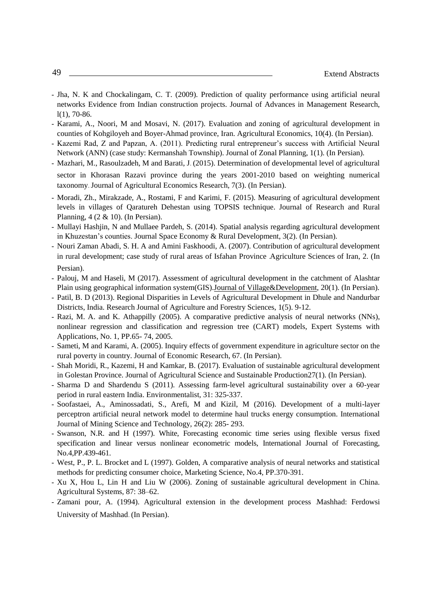- Jha, N. K and Chockalingam, C. T. (2009). Prediction of quality performance using artificial neural networks Evidence from Indian construction projects. Journal of Advances in Management Research, l(1), 70-86.
- Karami, A., Noori, M and Mosavi, N. (2017). Evaluation and zoning of agricultural development in counties of Kohgiloyeh and Boyer-Ahmad province, Iran. [Agricultural Economics, 1](http://magiran.com/magtoc.asp?mgID=5428&Number=1004&Appendix=0&lanf=En)0(4). (In Persian).
- Kazemi Rad, Z and Papzan, A. (2011). Predicting rural entrepreneur's success with Artificial Neural Network (ANN) (case study: Kermanshah Township). Journal of Zonal Planning, 1(1). (In Persian).
- Mazhari, M., Rasoulzadeh, M and Barati, J. (2015). Determination of developmental level of agricultural sector in Khorasan Razavi province during the years 2001-2010 based on weighting numerical taxonomy. Journal of Agricultural Economics Research, 7(3). (In Persian).
- Moradi, Zh., Mirakzade, A., Rostami, F and Karimi, F. (2015). Measuring of agricultural development levels in villages of Qaratureh Dehestan using TOPSIS technique. Journal of Research and Rural Planning, 4 (2 & 10). (In Persian).
- [Mullayi Hashjin,](https://serd.khu.ac.ir/search.php?sid=1&slc_lang=en&auth=Mullayi+Hashjin) N and [Mullaee Pardeh,](https://serd.khu.ac.ir/search.php?sid=1&slc_lang=en&auth=Mullaee+Pardeh) S. (2014). [Spatial analysis regarding agricultural development](https://serd.khu.ac.ir/article-1-2011-en.html)  [in Khuzestan's counties. J](https://serd.khu.ac.ir/article-1-2011-en.html)ournal Space Economy & Rural Development, 3(2). (In Persian).
- Nouri Zaman Abadi, S. H. A and Amini Faskhoodi, A. (2007). Contribution of agricultural development in rural development; case study of rural areas of Isfahan Province Agriculture Sciences of Iran, 2. (In Persian).
- Palouj, M and Haseli, M (2017). Assessment of agricultural development in the catchment of Alashtar Plain using geographical information system(GIS)[.Journal of Village&Development,](http://magiran.com/magtoc.asp?mgID=1090&Number=2001&Appendix=0&lanf=En) 20(1). (In Persian).
- Patil, B. D (2013). Regional Disparities in Levels of Agricultural Development in Dhule and Nandurbar Districts, India. Research Journal of Agriculture and Forestry Sciences, 1(5). 9-12.
- Razi, M. A. and K. Athappilly (2005). A comparative predictive analysis of neural networks (NNs), nonlinear regression and classification and regression tree (CART) models, Expert Systems with Applications, No. 1, PP.65- 74, 2005.
- Sameti, M and Karami, A. (2005). Inquiry effects of government expenditure in agriculture sector on the rural poverty in country. Journal of Economic Research, 67. (In Persian).
- Shah Moridi, R., Kazemi, H and Kamkar, B. (2017). Evaluation of sustainable agricultural development in Golestan Province. Journal of Agricultural Science and Sustainable Production27(1). (In Persian).
- Sharma D and Shardendu S (2011). Assessing farm-level agricultural sustainability over a 60-year period in rural eastern India. Environmentalist, 31: 325-337.
- Soofastaei, A., Aminossadati, S., Arefi, M and Kizil, M (2016). Development of a multi-layer perceptron artificial neural network model to determine haul trucks energy consumption. International Journal of Mining Science and Technology, 26(2): 285- 293.
- Swanson, N.R. and H (1997). White, Forecasting economic time series using flexible versus fixed specification and linear versus nonlinear econometric models, International Journal of Forecasting, No.4,PP.439-461.
- West, P., P. L. Brocket and L (1997). Golden, A comparative analysis of neural networks and statistical methods for predicting consumer choice, Marketing Science, No.4, PP.370-391.
- Xu X, Hou L, Lin H and Liu W (2006). Zoning of sustainable agricultural development in China. Agricultural Systems, 87: 38–62.
- Zamani pour, A. (1994). Agricultural extension in the development process Mashhad: Ferdowsi University of Mashhad. (In Persian).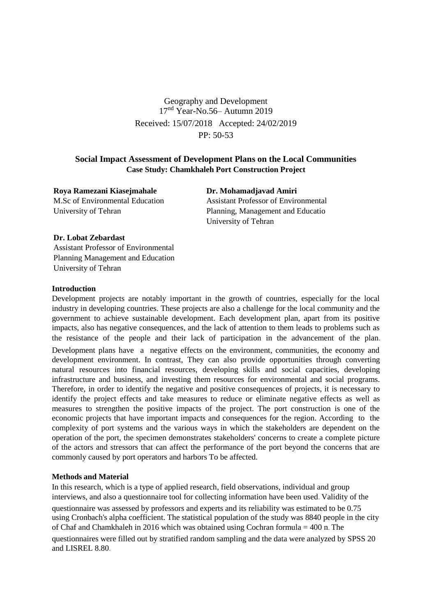Geography and Development  $17<sup>nd</sup> Year-No.56-$  Autumn 2019 Received: 15/07/2018 Accepted: 24/02/2019 PP: 50-53

# **Social Impact Assessment of Development Plans on the Local Communities Case Study: Chamkhaleh Port Construction Project**

**Roya Ramezani Kiasejmahale** M.Sc of Environmental Education University of Tehran

**Dr. Mohamadjavad Amiri**  Assistant Professor of Environmental Planning, Management and Educatio University of Tehran

# **Dr. Lobat Zebardast**

Assistant Professor of Environmental Planning Management and Education University of Tehran

## **Introduction**

Development projects are notably important in the growth of countries, especially for the local industry in developing countries. These projects are also a challenge for the local community and the government to achieve sustainable development. Each development plan, apart from its positive impacts, also has negative consequences, and the lack of attention to them leads to problems such as the resistance of the people and their lack of participation in the advancement of the plan. Development plans have a negative effects on the environment, communities, the economy and development environment. In contrast, They can also provide opportunities through converting natural resources into financial resources, developing skills and social capacities, developing infrastructure and business, and investing them resources for environmental and social programs. Therefore, in order to identify the negative and positive consequences of projects, it is necessary to identify the project effects and take measures to reduce or eliminate negative effects as well as measures to strengthen the positive impacts of the project. The port construction is one of the economic projects that have important impacts and consequences for the region. According to the complexity of port systems and the various ways in which the stakeholders are dependent on the operation of the port, the specimen demonstrates stakeholders' concerns to create a complete picture of the actors and stressors that can affect the performance of the port beyond the concerns that are commonly caused by port operators and harbors To be affected.

# **Methods and Material**

In this research, which is a type of applied research, field observations, individual and group interviews, and also a questionnaire tool for collecting information have been used. Validity of the questionnaire was assessed by professors and experts and its reliability was estimated to be 0.75 using Cronbach's alpha coefficient. The statistical population of the study was 8840 people in the city of Chaf and Chamkhaleh in 2016 which was obtained using Cochran formula = 400 n. The questionnaires were filled out by stratified random sampling and the data were analyzed by SPSS 20 and LISREL 8.80.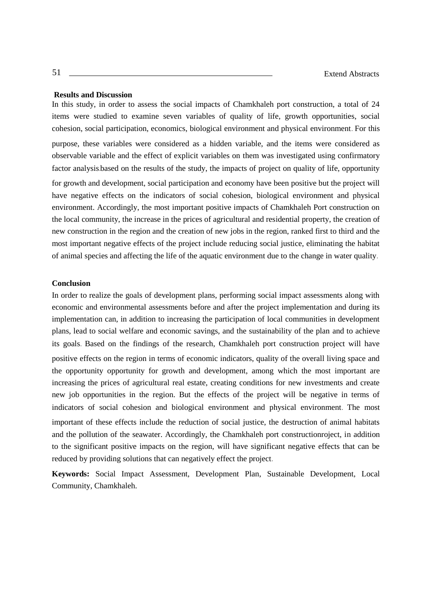## **Results and Discussion**

In this study, in order to assess the social impacts of Chamkhaleh port construction, a total of 24 items were studied to examine seven variables of quality of life, growth opportunities, social cohesion, social participation, economics, biological environment and physical environment. For this

purpose, these variables were considered as a hidden variable, and the items were considered as observable variable and the effect of explicit variables on them was investigated using confirmatory factor analysis.based on the results of the study, the impacts of project on quality of life, opportunity for growth and development, social participation and economy have been positive but the project will have negative effects on the indicators of social cohesion, biological environment and physical environment. Accordingly, the most important positive impacts of Chamkhaleh Port construction on the local community, the increase in the prices of agricultural and residential property, the creation of new construction in the region and the creation of new jobs in the region, ranked first to third and the most important negative effects of the project include reducing social justice, eliminating the habitat of animal species and affecting the life of the aquatic environment due to the change in water quality.

#### **Conclusion**

In order to realize the goals of development plans, performing social impact assessments along with economic and environmental assessments before and after the project implementation and during its implementation can, in addition to increasing the participation of local communities in development plans, lead to social welfare and economic savings, and the sustainability of the plan and to achieve its goals. Based on the findings of the research, Chamkhaleh port construction project will have

positive effects on the region in terms of economic indicators, quality of the overall living space and the opportunity opportunity for growth and development, among which the most important are increasing the prices of agricultural real estate, creating conditions for new investments and create new job opportunities in the region. But the effects of the project will be negative in terms of indicators of social cohesion and biological environment and physical environment. The most important of these effects include the reduction of social justice, the destruction of animal habitats and the pollution of the seawater. Accordingly, the Chamkhaleh port constructionroject, in addition to the significant positive impacts on the region, will have significant negative effects that can be reduced by providing solutions that can negatively effect the project.

**Keywords:** Social Impact Assessment, Development Plan, Sustainable Development, Local Community, Chamkhaleh.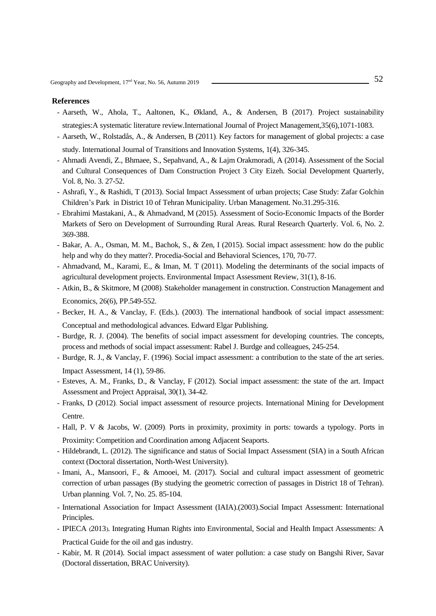- Aarseth, W., Ahola, T., Aaltonen, K., Økland, A., & Andersen, B (2017). Project sustainability strategies:A systematic literature review.International Journal of Project Management,35(6),1071-1083.
- Aarseth, W., Rolstadås, A., & Andersen, B (2011). Key factors for management of global projects: a case study. International Journal of Transitions and Innovation Systems, 1(4), 326-345.
- Ahmadi Avendi, Z., Bhmaee, S., Sepahvand, A., & Lajm Orakmoradi, A (2014). Assessment of the Social and Cultural Consequences of Dam Construction Project 3 City Eizeh. Social Development Quarterly, Vol. 8, No. 3. 27-52.
- Ashrafi, Y., & Rashidi, T (2013). Social Impact Assessment of urban projects; Case Study: Zafar Golchin Children's Park in District 10 of Tehran Municipality. Urban Management. No.31.295-316.
- Ebrahimi Mastakani, A., & Ahmadvand, M (2015). Assessment of Socio-Economic Impacts of the Border Markets of Sero on Development of Surrounding Rural Areas. Rural Research Quarterly. Vol. 6, No. 2. 369-388.
- Bakar, A. A., Osman, M. M., Bachok, S., & Zen, I (2015). Social impact assessment: how do the public help and why do they matter?. Procedia-Social and Behavioral Sciences, 170, 70-77.
- Ahmadvand, M., Karami, E., & Iman, M. T (2011). Modeling the determinants of the social impacts of agricultural development projects. Environmental Impact Assessment Review, 31(1), 8-16.
- Atkin, B., & Skitmore, M (2008). Stakeholder management in construction. Construction Management and Economics, 26(6), PP.549-552.
- Becker, H. A., & Vanclay, F. (Eds.). (2003). The international handbook of social impact assessment: Conceptual and methodological advances. Edward Elgar Publishing.
- Burdge, R. J. (2004). The benefits of social impact assessment for developing countries. The concepts, process and methods of social impact assessment: Rabel J. Burdge and colleagues, 245-254.
- Burdge, R. J., & Vanclay, F. (1996). Social impact assessment: a contribution to the state of the art series. Impact Assessment, 14 (1), 59-86.
- Esteves, A. M., Franks, D., & Vanclay, F (2012). Social impact assessment: the state of the art. Impact Assessment and Project Appraisal, 30(1), 34-42.
- Franks, D (2012). Social impact assessment of resource projects. International Mining for Development Centre.
- Hall, P. V & Jacobs, W. (2009). Ports in proximity, proximity in ports: towards a typology. Ports in Proximity: Competition and Coordination among Adjacent Seaports.
- Hildebrandt, L. (2012). The significance and status of Social Impact Assessment (SIA) in a South African context (Doctoral dissertation, North-West University).
- Imani, A., Mansoori, F., & Amooei, M. (2017). Social and cultural impact assessment of geometric correction of urban passages (By studying the geometric correction of passages in District 18 of Tehran). Urban planning. Vol. 7, No. 25. 85-104.
- International Association for Impact Assessment (IAIA).(2003).Social Impact Assessment: International Principles.
- IPIECA (2013). Integrating Human Rights into Environmental, Social and Health Impact Assessments: A Practical Guide for the oil and gas industry.
- Kabir, M. R (2014). Social impact assessment of water pollution: a case study on Bangshi River, Savar (Doctoral dissertation, BRAC University).